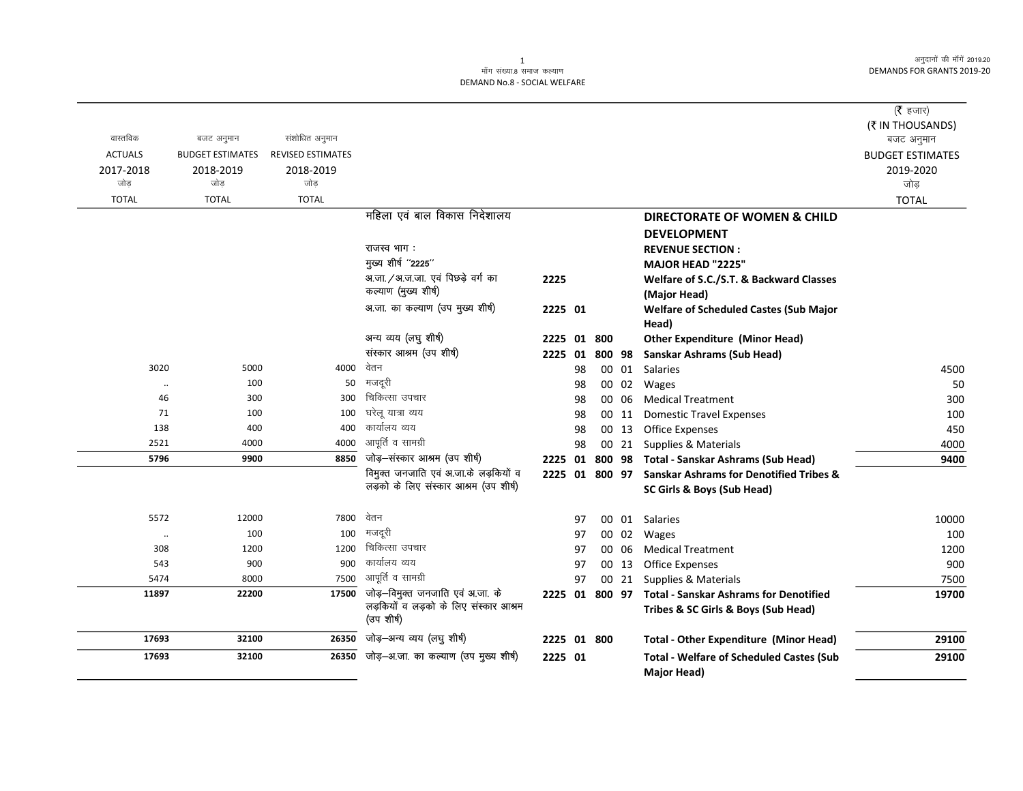#### -<br>माँग संख्या.8 समाज कल्याण DEMAND No.8 - SOCIAL WELFARE

| वास्तविक<br><b>ACTUALS</b><br>2017-2018 | बजट अनुमान<br><b>BUDGET ESTIMATES</b><br>2018-2019 | संशोधित अनुमान<br><b>REVISED ESTIMATES</b><br>2018-2019 |                                                                                         |             |    |     |                |                                                                                                     | ( $\bar{\tau}$ हजार)<br>(₹ IN THOUSANDS)<br>बजट अनुमान<br><b>BUDGET ESTIMATES</b><br>2019-2020 |
|-----------------------------------------|----------------------------------------------------|---------------------------------------------------------|-----------------------------------------------------------------------------------------|-------------|----|-----|----------------|-----------------------------------------------------------------------------------------------------|------------------------------------------------------------------------------------------------|
| जोड                                     | जोड                                                | जोड़                                                    |                                                                                         |             |    |     |                |                                                                                                     | जोड                                                                                            |
| <b>TOTAL</b>                            | <b>TOTAL</b>                                       | <b>TOTAL</b>                                            | महिला एवं बाल विकास निदेशालय                                                            |             |    |     |                |                                                                                                     | <b>TOTAL</b>                                                                                   |
|                                         |                                                    |                                                         |                                                                                         |             |    |     |                | <b>DIRECTORATE OF WOMEN &amp; CHILD</b>                                                             |                                                                                                |
|                                         |                                                    |                                                         |                                                                                         |             |    |     |                | <b>DEVELOPMENT</b>                                                                                  |                                                                                                |
|                                         |                                                    |                                                         | राजस्व भाग:                                                                             |             |    |     |                | <b>REVENUE SECTION:</b>                                                                             |                                                                                                |
|                                         |                                                    |                                                         | मुख्य शीर्ष "2225"                                                                      |             |    |     |                | <b>MAJOR HEAD "2225"</b>                                                                            |                                                                                                |
|                                         |                                                    |                                                         | अ.जा. / अ.ज.जा. एवं पिछड़े वर्ग का<br>कल्याण (मुख्य शीर्ष)                              | 2225        |    |     |                | Welfare of S.C./S.T. & Backward Classes                                                             |                                                                                                |
|                                         |                                                    |                                                         | अ.जा. का कल्याण (उप मुख्य शीर्ष)                                                        |             |    |     |                | (Major Head)                                                                                        |                                                                                                |
|                                         |                                                    |                                                         |                                                                                         | 2225 01     |    |     |                | <b>Welfare of Scheduled Castes (Sub Major</b>                                                       |                                                                                                |
|                                         |                                                    |                                                         | अन्य व्यय (लघु शीर्ष)                                                                   |             |    |     |                | Head)                                                                                               |                                                                                                |
|                                         |                                                    |                                                         | संस्कार आश्रम (उप शीर्ष)                                                                | 2225 01     |    | 800 |                | <b>Other Expenditure (Minor Head)</b>                                                               |                                                                                                |
| 3020                                    | 5000                                               | 4000                                                    | वेतन                                                                                    | 2225 01     |    |     | 00 01          | 800 98 Sanskar Ashrams (Sub Head)<br>Salaries                                                       |                                                                                                |
|                                         | 100                                                | 50                                                      | मजदरी                                                                                   |             | 98 |     | 00 02          |                                                                                                     | 4500<br>50                                                                                     |
| $\ddot{\phantom{a}}$<br>46              | 300                                                | 300                                                     | चिकित्सा उपचार                                                                          |             | 98 |     |                | Wages                                                                                               |                                                                                                |
| 71                                      | 100                                                | 100                                                     | घरेलू यात्रा व्यय                                                                       |             | 98 |     | 00 06          | <b>Medical Treatment</b>                                                                            | 300                                                                                            |
| 138                                     | 400                                                | 400                                                     | कार्यालय व्यय                                                                           |             | 98 |     | 00 11<br>00 13 | <b>Domestic Travel Expenses</b><br><b>Office Expenses</b>                                           | 100<br>450                                                                                     |
| 2521                                    | 4000                                               | 4000                                                    | आपूर्ति व सामग्री                                                                       |             | 98 |     |                |                                                                                                     |                                                                                                |
| 5796                                    | 9900                                               | 8850                                                    | जोड़-संस्कार आश्रम (उप शीर्ष)                                                           |             | 98 |     |                | 00 21 Supplies & Materials                                                                          | 4000                                                                                           |
|                                         |                                                    |                                                         | विमुक्त जनजाति एवं अ.जा.के लड़कियों व                                                   | 2225 01     |    |     |                | 800 98 Total - Sanskar Ashrams (Sub Head)<br>2225 01 800 97 Sanskar Ashrams for Denotified Tribes & | 9400                                                                                           |
|                                         |                                                    |                                                         | लड़को के लिए संस्कार आश्रम (उप शीर्ष)                                                   |             |    |     |                | SC Girls & Boys (Sub Head)                                                                          |                                                                                                |
| 5572                                    | 12000                                              | 7800                                                    | वेतन                                                                                    |             | 97 |     |                | 00 01 Salaries                                                                                      | 10000                                                                                          |
| $\ddotsc$                               | 100                                                | 100                                                     | मजदूरी                                                                                  |             | 97 |     |                | 00 02 Wages                                                                                         | 100                                                                                            |
| 308                                     | 1200                                               | 1200                                                    | चिकित्सा उपचार                                                                          |             | 97 |     | 00 06          | <b>Medical Treatment</b>                                                                            | 1200                                                                                           |
| 543                                     | 900                                                | 900                                                     | कार्यालय व्यय                                                                           |             | 97 |     | 00 13          | <b>Office Expenses</b>                                                                              | 900                                                                                            |
| 5474                                    | 8000                                               | 7500                                                    | आपूर्ति व सामग्री                                                                       |             | 97 |     |                | 00 21 Supplies & Materials                                                                          | 7500                                                                                           |
| 11897                                   | 22200                                              | 17500                                                   | जोड़–विमुक्त जनजाति एवं अ.जा. के<br>लड़कियों व लड़को के लिए संस्कार आश्रम<br>(उप शीर्ष) |             |    |     |                | 2225 01 800 97 Total - Sanskar Ashrams for Denotified<br>Tribes & SC Girls & Boys (Sub Head)        | 19700                                                                                          |
| 17693                                   | 32100                                              | 26350                                                   | जोड़-अन्य व्यय (लघु शीर्ष)                                                              | 2225 01 800 |    |     |                | <b>Total - Other Expenditure (Minor Head)</b>                                                       | 29100                                                                                          |
| 17693                                   | 32100                                              | 26350                                                   | जोड़—अ.जा. का कल्याण (उप मुख्य शीर्ष)                                                   | 2225 01     |    |     |                | <b>Total - Welfare of Scheduled Castes (Sub</b><br><b>Major Head)</b>                               | 29100                                                                                          |

 $\overline{1}$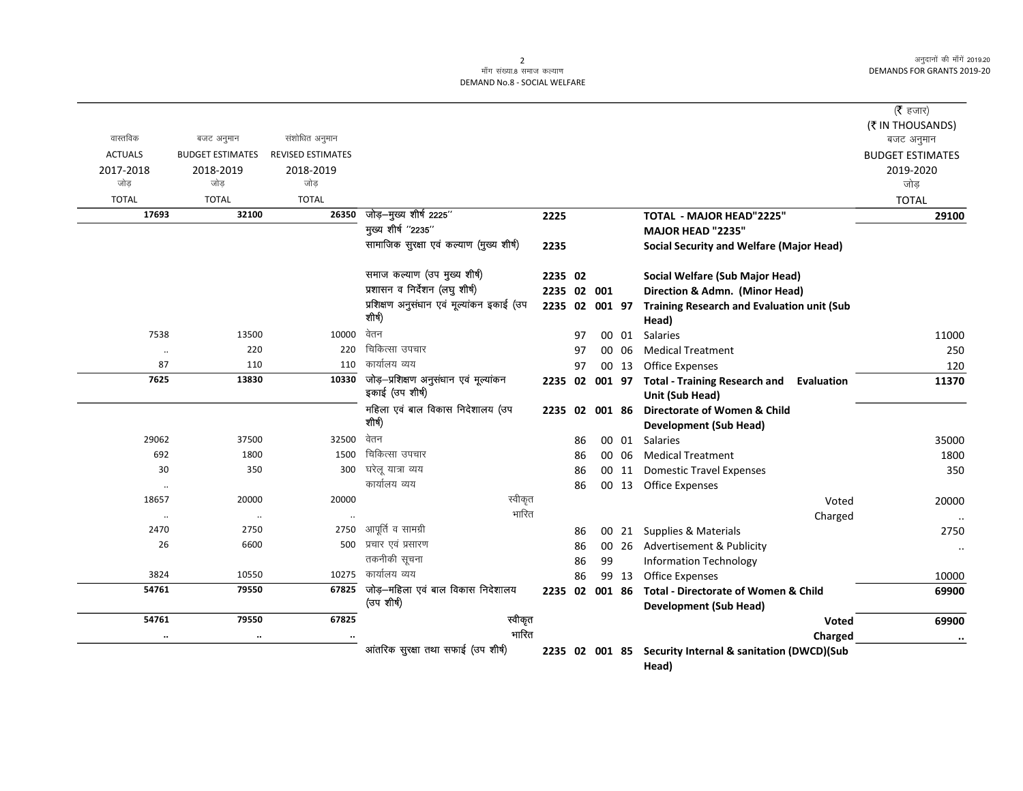## 2<br>माँग संख्या.8 समाज कल्याण DEMAND No.8 - SOCIAL WELFARE

|                               |                         |                          |                                                          |         |          |                |       |                                                                              | ( $\bar{\tau}$ हजार)           |
|-------------------------------|-------------------------|--------------------------|----------------------------------------------------------|---------|----------|----------------|-------|------------------------------------------------------------------------------|--------------------------------|
| वास्तविक                      | बजट अनुमान              | संशोधित अनुमान           |                                                          |         |          |                |       |                                                                              | (₹ IN THOUSANDS)<br>बजट अनुमान |
| <b>ACTUALS</b>                | <b>BUDGET ESTIMATES</b> | <b>REVISED ESTIMATES</b> |                                                          |         |          |                |       |                                                                              | <b>BUDGET ESTIMATES</b>        |
| 2017-2018                     | 2018-2019               | 2018-2019                |                                                          |         |          |                |       |                                                                              | 2019-2020                      |
| जोड                           | जोड                     | जोड                      |                                                          |         |          |                |       |                                                                              | जोड                            |
| <b>TOTAL</b>                  | <b>TOTAL</b>            | <b>TOTAL</b>             |                                                          |         |          |                |       |                                                                              | <b>TOTAL</b>                   |
| 17693                         | 32100                   | 26350                    | जोड़-मुख्य शीर्ष 2225"                                   | 2225    |          |                |       | <b>TOTAL - MAJOR HEAD"2225"</b>                                              | 29100                          |
|                               |                         |                          | मुख्य शीर्ष "2235"                                       |         |          |                |       | <b>MAJOR HEAD "2235"</b>                                                     |                                |
|                               |                         |                          | सामाजिक सुरक्षा एवं कल्याण (मुख्य शीर्ष)                 | 2235    |          |                |       | Social Security and Welfare (Major Head)                                     |                                |
|                               |                         |                          | समाज कल्याण (उप मुख्य शीर्ष)                             | 2235 02 |          |                |       | Social Welfare (Sub Major Head)                                              |                                |
|                               |                         |                          | प्रशासन व निर्देशन (लघु शीर्ष)                           |         |          | 2235 02 001    |       | Direction & Admn. (Minor Head)                                               |                                |
|                               |                         |                          | प्रशिक्षण अनुसंधान एवं मूल्यांकन इकाई (उप<br>शीर्ष)      |         |          | 2235 02 001 97 |       | <b>Training Research and Evaluation unit (Sub</b><br>Head)                   |                                |
| 7538                          | 13500                   | 10000                    | वेतन                                                     |         | 97       |                | 00 01 | <b>Salaries</b>                                                              | 11000                          |
| $\ddot{\phantom{0}}$          | 220                     | 220                      | चिकित्सा उपचार                                           |         | 97       | 00             | -06   | <b>Medical Treatment</b>                                                     | 250                            |
| 87                            | 110                     | 110                      | कार्यालय व्यय                                            |         | 97       |                | 00 13 | <b>Office Expenses</b>                                                       | 120                            |
| 7625                          | 13830                   | 10330                    | जोड़-प्रशिक्षण अनुसंधान एवं मूल्यांकन<br>इकाई (उप शीर्ष) |         |          | 2235 02 001 97 |       | <b>Total - Training Research and</b><br><b>Evaluation</b><br>Unit (Sub Head) | 11370                          |
|                               |                         |                          | महिला एवं बाल विकास निदेशालय (उप<br>शीर्ष)               |         |          | 2235 02 001 86 |       | Directorate of Women & Child                                                 |                                |
|                               |                         |                          | वेतन                                                     |         |          |                |       | <b>Development (Sub Head)</b>                                                |                                |
| 29062<br>692                  | 37500<br>1800           | 32500<br>1500            | चिकित्सा उपचार                                           |         | 86       |                | 00 01 | Salaries                                                                     | 35000                          |
| 30                            | 350                     | 300                      | घरेलू यात्रा व्यय                                        |         | 86       |                | 00 06 | <b>Medical Treatment</b>                                                     | 1800<br>350                    |
|                               |                         |                          | कार्यालय व्यय                                            |         | 86<br>86 |                | 00 11 | <b>Domestic Travel Expenses</b><br>00 13 Office Expenses                     |                                |
| $\ddot{\phantom{a}}$<br>18657 | 20000                   | 20000                    | स्वीकृत                                                  |         |          |                |       | Voted                                                                        | 20000                          |
| $\ddot{\phantom{0}}$          | $\ddotsc$               |                          | भारित                                                    |         |          |                |       | Charged                                                                      |                                |
| 2470                          | 2750                    | 2750                     | आपूर्ति व सामग्री                                        |         | 86       |                | 00 21 | Supplies & Materials                                                         | $\ddot{\phantom{a}}$<br>2750   |
| 26                            | 6600                    | 500                      | प्रचार एवं प्रसारण                                       |         | 86       |                | 00 26 | Advertisement & Publicity                                                    | $\ddotsc$                      |
|                               |                         |                          | तकनीकी सूचना                                             |         | 86       | 99             |       | <b>Information Technology</b>                                                |                                |
| 3824                          | 10550                   | 10275                    | कार्यालय व्यय                                            |         | 86       |                | 99 13 | <b>Office Expenses</b>                                                       | 10000                          |
| 54761                         | 79550                   | 67825                    | जोड़—महिला एवं बाल विकास निदेशालय                        |         |          | 2235 02 001 86 |       | <b>Total - Directorate of Women &amp; Child</b>                              | 69900                          |
|                               |                         |                          | (उप शीर्ष)                                               |         |          |                |       | <b>Development (Sub Head)</b>                                                |                                |
| 54761                         | 79550                   | 67825                    | स्वीकृत                                                  |         |          |                |       | Voted                                                                        | 69900                          |
| $\ldots$                      | $\ddotsc$               |                          | भारित                                                    |         |          |                |       | Charged                                                                      | $\cdot\cdot$                   |
|                               |                         |                          | आंतरिक सुरक्षा तथा सफाई (उप शीर्ष)                       |         |          | 2235 02 001 85 |       | Security Internal & sanitation (DWCD)(Sub<br>Head)                           |                                |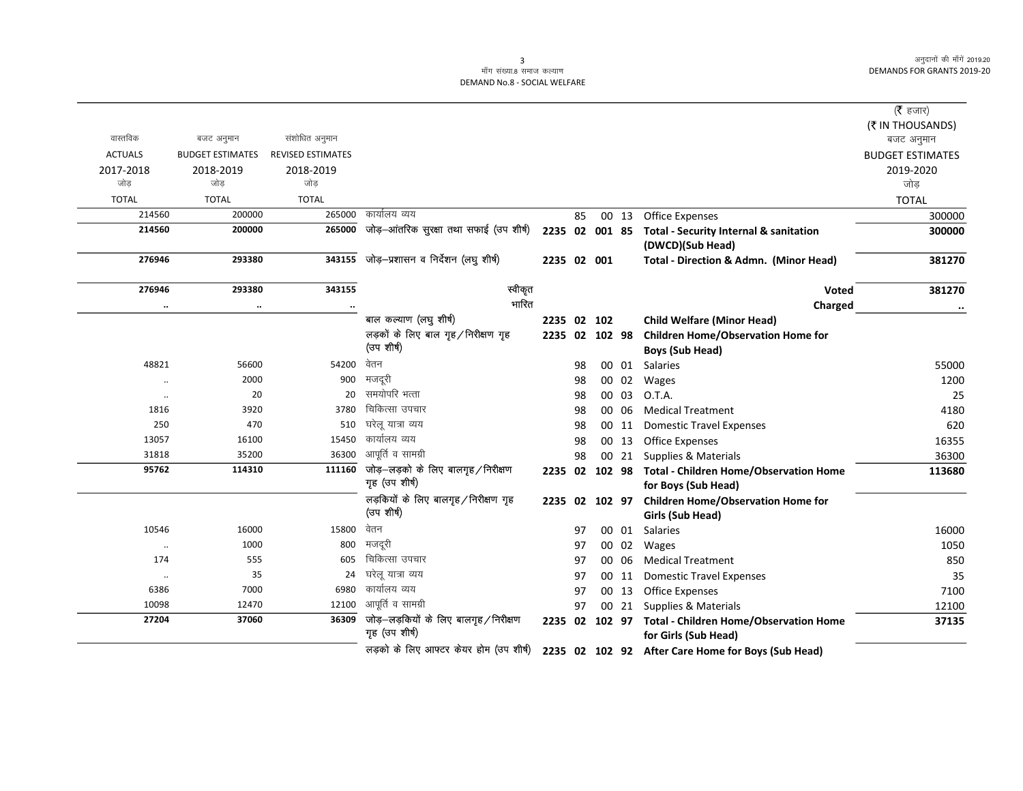# 3<br>माँग संख्या.8 समाज कल्याण DEMAND No.8 - SOCIAL WELFARE

|                |                         |                          |                                         |                |    |        |        |                                                    | (रै हजार)               |
|----------------|-------------------------|--------------------------|-----------------------------------------|----------------|----|--------|--------|----------------------------------------------------|-------------------------|
|                |                         |                          |                                         |                |    |        |        |                                                    | (₹ IN THOUSANDS)        |
| वास्तविक       | बजट अनुमान              | संशोधित अनुमान           |                                         |                |    |        |        |                                                    | बजट अनुमान              |
| <b>ACTUALS</b> | <b>BUDGET ESTIMATES</b> | <b>REVISED ESTIMATES</b> |                                         |                |    |        |        |                                                    | <b>BUDGET ESTIMATES</b> |
| 2017-2018      | 2018-2019               | 2018-2019                |                                         |                |    |        |        |                                                    | 2019-2020               |
| जोड            | जोड                     | जोड                      |                                         |                |    |        |        |                                                    | जोड                     |
| <b>TOTAL</b>   | <b>TOTAL</b>            | <b>TOTAL</b>             |                                         |                |    |        |        |                                                    | <b>TOTAL</b>            |
| 214560         | 200000                  | 265000                   | कार्यालय व्यय                           |                | 85 |        | 00 13  | <b>Office Expenses</b>                             | 300000                  |
| 214560         | 200000                  | 265000                   | जोड़-आंतरिक सुरक्षा तथा सफाई (उप शीर्ष) | 2235 02 001 85 |    |        |        | <b>Total - Security Internal &amp; sanitation</b>  | 300000                  |
|                |                         |                          |                                         |                |    |        |        | (DWCD)(Sub Head)                                   |                         |
| 276946         | 293380                  | 343155                   | जोड़–प्रशासन व निर्देशन (लघु शीर्ष)     | 2235 02 001    |    |        |        | Total - Direction & Admn. (Minor Head)             | 381270                  |
| 276946         | 293380                  | 343155                   | स्वीकृत                                 |                |    |        |        | Voted                                              | 381270                  |
| $\ldots$       |                         |                          | भारित                                   |                |    |        |        | Charged                                            | $\cdots$                |
|                |                         |                          | बाल कल्याण (लघु शीर्ष)                  | 2235 02 102    |    |        |        | <b>Child Welfare (Minor Head)</b>                  |                         |
|                |                         |                          | लड़कों के लिए बाल गृह / निरीक्षण गृह    | 2235 02 102 98 |    |        |        | <b>Children Home/Observation Home for</b>          |                         |
|                |                         |                          | (उप शीर्ष)                              |                |    |        |        | <b>Boys (Sub Head)</b>                             |                         |
| 48821          | 56600                   | 54200                    | वेतन                                    |                | 98 |        | 00 01  | Salaries                                           | 55000                   |
| $\ddotsc$      | 2000                    | 900                      | मजदूरी                                  |                | 98 |        | 00 02  | Wages                                              | 1200                    |
| $\ddotsc$      | 20                      | 20                       | समयोपरि भत्ता                           |                | 98 |        | 00 03  | O.T.A.                                             | 25                      |
| 1816           | 3920                    | 3780                     | चिकित्सा उपचार                          |                | 98 |        | 00 06  | <b>Medical Treatment</b>                           | 4180                    |
| 250            | 470                     | 510                      | घरेलू यात्रा व्यय                       |                | 98 |        | 00 11  | <b>Domestic Travel Expenses</b>                    | 620                     |
| 13057          | 16100                   | 15450                    | कार्यालय व्यय                           |                | 98 |        | 00 13  | <b>Office Expenses</b>                             | 16355                   |
| 31818          | 35200                   | 36300                    | आपूर्ति व सामग्री                       |                | 98 |        | 00 21  | Supplies & Materials                               | 36300                   |
| 95762          | 114310                  | 111160                   | जोड़—लड़को के लिए बालगृह / निरीक्षण     | 2235 02        |    |        | 102 98 | <b>Total - Children Home/Observation Home</b>      | 113680                  |
|                |                         |                          | गृह (उप शीर्ष)                          |                |    |        |        | for Boys (Sub Head)                                |                         |
|                |                         |                          | लड़कियों के लिए बालगृह / निरीक्षण गृह   | 2235 02        |    | 102 97 |        | <b>Children Home/Observation Home for</b>          |                         |
|                |                         |                          | (उप शीर्ष)                              |                |    |        |        | Girls (Sub Head)                                   |                         |
| 10546          | 16000                   | 15800                    | वेतन                                    |                | 97 |        | 00 01  | Salaries                                           | 16000                   |
| $\ldots$       | 1000                    | 800                      | मजदूरी                                  |                | 97 |        |        | 00 02 Wages                                        | 1050                    |
| 174            | 555                     | 605                      | चिकित्सा उपचार                          |                | 97 |        | 00 06  | <b>Medical Treatment</b>                           | 850                     |
| $\cdot\cdot$   | 35                      | 24                       | घरेलू यात्रा व्यय                       |                | 97 |        |        | 00 11 Domestic Travel Expenses                     | 35                      |
| 6386           | 7000                    | 6980                     | कार्यालय व्यय                           |                | 97 |        | 00 13  | <b>Office Expenses</b>                             | 7100                    |
| 10098          | 12470                   | 12100                    | आपूर्ति व सामग्री                       |                | 97 |        |        | 00 21 Supplies & Materials                         | 12100                   |
| 27204          | 37060                   | 36309                    | जोड़-लड़कियों के लिए बालगृह/निरीक्षण    | 2235 02 102 97 |    |        |        | <b>Total - Children Home/Observation Home</b>      | 37135                   |
|                |                         |                          | गृह (उप शीर्ष)                          |                |    |        |        | for Girls (Sub Head)                               |                         |
|                |                         |                          | लड़को के लिए आफ्टर केयर होम (उप शीर्ष)  |                |    |        |        | 2235 02 102 92 After Care Home for Boys (Sub Head) |                         |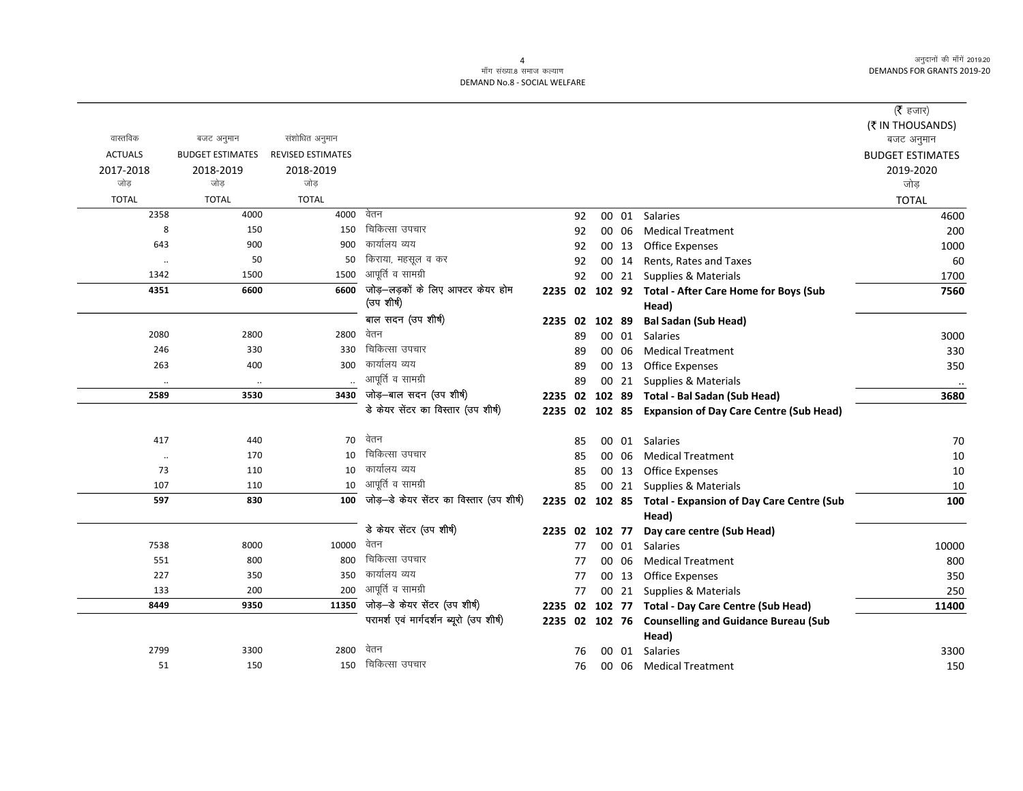#### .<br>माँग संख्या 8 समाज कल्याण DEMAND No.8 - SOCIAL WELFARE

|                    |                         |                          |                                          |         |    |        |       |                                                          | (रै हजार)                      |
|--------------------|-------------------------|--------------------------|------------------------------------------|---------|----|--------|-------|----------------------------------------------------------|--------------------------------|
|                    |                         |                          |                                          |         |    |        |       |                                                          |                                |
| वास्तविक           | बजट अनुमान              | संशोधित अनुमान           |                                          |         |    |        |       |                                                          | (₹ IN THOUSANDS)<br>बजट अनुमान |
| <b>ACTUALS</b>     | <b>BUDGET ESTIMATES</b> | <b>REVISED ESTIMATES</b> |                                          |         |    |        |       |                                                          | <b>BUDGET ESTIMATES</b>        |
| 2017-2018          | 2018-2019               | 2018-2019                |                                          |         |    |        |       |                                                          | 2019-2020                      |
| जोड                | जोड                     | जोड                      |                                          |         |    |        |       |                                                          | जोड़                           |
| <b>TOTAL</b>       | <b>TOTAL</b>            | <b>TOTAL</b>             |                                          |         |    |        |       |                                                          | <b>TOTAL</b>                   |
| 2358               | 4000                    | 4000                     | वेतन                                     |         | 92 |        | 00 01 | <b>Salaries</b>                                          | 4600                           |
| 8                  | 150                     | 150                      | चिकित्सा उपचार                           |         | 92 |        | 00 06 | <b>Medical Treatment</b>                                 | 200                            |
| 643                | 900                     | 900                      | कार्यालय व्यय                            |         | 92 |        | 00 13 | Office Expenses                                          | 1000                           |
| $\cdot\cdot$       | 50                      | 50                       | किराया, महसूल व कर                       |         | 92 |        | 00 14 | Rents, Rates and Taxes                                   | 60                             |
| 1342               | 1500                    | 1500                     | आपूर्ति व सामग्री                        |         | 92 |        |       | 00 21 Supplies & Materials                               | 1700                           |
| 4351               | 6600                    | 6600                     | जोड़-लड़कों के लिए आफ्टर केयर होम        |         |    |        |       | 2235 02 102 92 Total - After Care Home for Boys (Sub     | 7560                           |
|                    |                         |                          | (उप शीर्ष)                               |         |    |        |       | Head)                                                    |                                |
|                    |                         |                          | बाल सदन (उप शीर्ष)                       | 2235 02 |    | 102 89 |       | <b>Bal Sadan (Sub Head)</b>                              |                                |
| 2080               | 2800                    | 2800                     | वेतन                                     |         | 89 |        | 00 01 | <b>Salaries</b>                                          | 3000                           |
| 246                | 330                     | 330                      | चिकित्सा उपचार                           |         | 89 |        | 00 06 | <b>Medical Treatment</b>                                 | 330                            |
| 263                | 400                     | 300                      | कार्यालय व्यय                            |         | 89 |        | 00 13 | <b>Office Expenses</b>                                   | 350                            |
| $\ddotsc$          | $\cdot$                 |                          | आपूर्ति व सामग्री                        |         | 89 |        | 00 21 | Supplies & Materials                                     | $\cdots$                       |
| 2589               | 3530                    | 3430                     | जोड़-बाल सदन (उप शीर्ष)                  | 2235 02 |    |        |       | 102 89 Total - Bal Sadan (Sub Head)                      | 3680                           |
|                    |                         |                          | डे केयर सेंटर का विस्तार (उप शीर्ष)      |         |    |        |       | 2235 02 102 85 Expansion of Day Care Centre (Sub Head)   |                                |
| 417                | 440                     | 70                       | वेतन                                     |         | 85 |        |       | 00 01 Salaries                                           | 70                             |
|                    | 170                     | 10                       | चिकित्सा उपचार                           |         | 85 |        | 00 06 | <b>Medical Treatment</b>                                 | 10                             |
| $\cdot\cdot$<br>73 | 110                     | 10                       | कार्यालय व्यय                            |         | 85 |        | 00 13 | <b>Office Expenses</b>                                   | 10                             |
| 107                | 110                     | 10                       | आपूर्ति व सामग्री                        |         | 85 |        |       | 00 21 Supplies & Materials                               | 10                             |
| 597                | 830                     | 100                      | जोड़-डे केयर सेंटर का विस्तार (उप शीर्ष) |         |    |        |       | 2235 02 102 85 Total - Expansion of Day Care Centre (Sub | 100                            |
|                    |                         |                          |                                          |         |    |        |       | Head)                                                    |                                |
|                    |                         |                          | डे केयर सेंटर (उप शीर्ष)                 | 2235 02 |    | 102 77 |       | Day care centre (Sub Head)                               |                                |
| 7538               | 8000                    | 10000                    | वेतन                                     |         | 77 |        | 00 01 | Salaries                                                 | 10000                          |
| 551                | 800                     | 800                      | चिकित्सा उपचार                           |         | 77 |        | 00 06 | <b>Medical Treatment</b>                                 | 800                            |
| 227                | 350                     | 350                      | कार्यालय व्यय                            |         | 77 |        | 00 13 | Office Expenses                                          | 350                            |
| 133                | 200                     | 200                      | आपूर्ति व सामग्री                        |         | 77 |        | 00 21 | Supplies & Materials                                     | 250                            |
| 8449               | 9350                    | 11350                    | जोड़-डे केयर सेंटर (उप शीर्ष)            | 2235 02 |    |        |       | 102 77 Total - Day Care Centre (Sub Head)                | 11400                          |
|                    |                         |                          | परामर्श एवं मार्गदर्शन ब्यूरो (उप शीर्ष) |         |    |        |       | 2235 02 102 76 Counselling and Guidance Bureau (Sub      |                                |
|                    |                         |                          |                                          |         |    |        |       | Head)                                                    |                                |
| 2799               | 3300                    | 2800                     | वेतन                                     |         | 76 |        | 00 01 | Salaries                                                 | 3300                           |
| 51                 | 150                     | 150                      | चिकित्सा उपचार                           |         | 76 |        | 00 06 | <b>Medical Treatment</b>                                 | 150                            |

 $\overline{4}$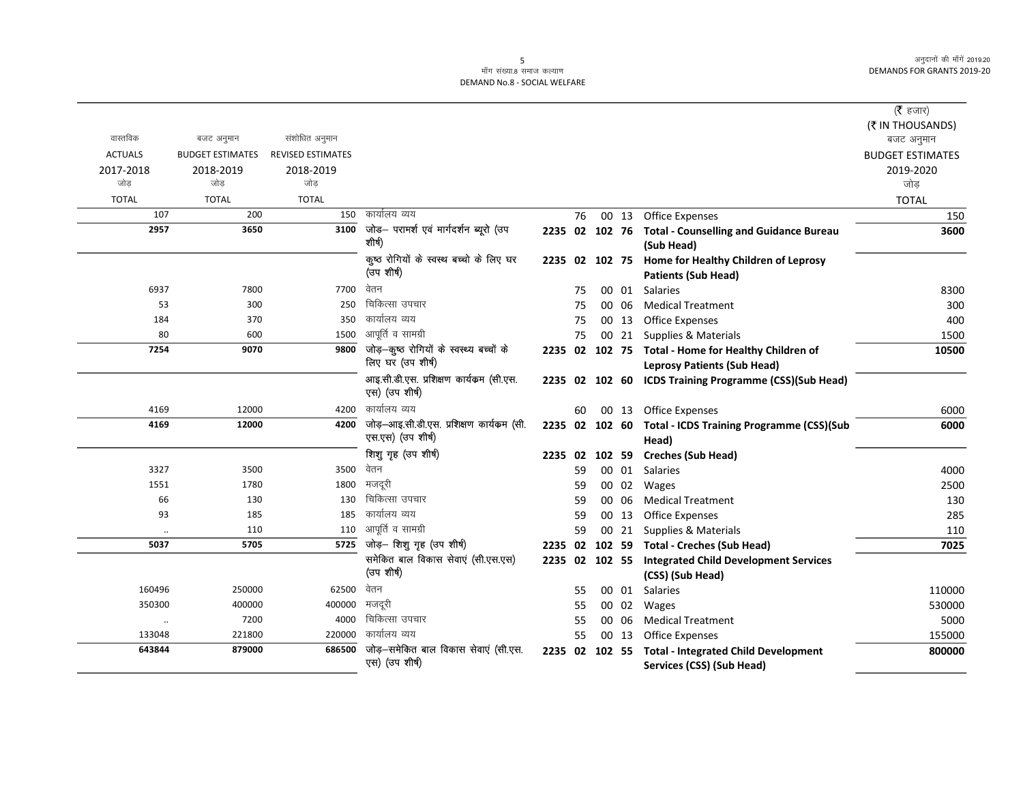# 5<br>माँग संख्या.8 समाज कल्याण DEMAND No.8 - SOCIAL WELFARE

|                      |                         |                          |                                                          |                |    |       |                                                                          | ( $\bar{\tau}$ हजार)    |
|----------------------|-------------------------|--------------------------|----------------------------------------------------------|----------------|----|-------|--------------------------------------------------------------------------|-------------------------|
|                      |                         |                          |                                                          |                |    |       |                                                                          | (₹ IN THOUSANDS)        |
| वास्तविक             | बजट अनुमान              | संशोधित अनुमान           |                                                          |                |    |       |                                                                          | बजट अनुमान              |
| <b>ACTUALS</b>       | <b>BUDGET ESTIMATES</b> | <b>REVISED ESTIMATES</b> |                                                          |                |    |       |                                                                          | <b>BUDGET ESTIMATES</b> |
| 2017-2018            | 2018-2019               | 2018-2019                |                                                          |                |    |       |                                                                          | 2019-2020               |
| जोड                  | जोड                     | जोड                      |                                                          |                |    |       |                                                                          | जोड़                    |
| <b>TOTAL</b>         | <b>TOTAL</b>            | <b>TOTAL</b>             |                                                          |                |    |       |                                                                          | <b>TOTAL</b>            |
| 107                  | 200                     | 150                      | कार्यालय व्यय                                            |                | 76 | 00 13 | <b>Office Expenses</b>                                                   | 150                     |
| 2957                 | 3650                    | 3100                     | जोड- परामर्श एवं मार्गदर्शन ब्यूरो (उप<br>शीर्ष)         |                |    |       | 2235 02 102 76 Total - Counselling and Guidance Bureau                   | 3600                    |
|                      |                         |                          |                                                          |                |    |       | (Sub Head)                                                               |                         |
|                      |                         |                          | कुष्ठ रोगियों के स्वस्थ बच्चो के लिए घर                  |                |    |       | 2235 02 102 75 Home for Healthy Children of Leprosy                      |                         |
|                      |                         |                          | (उप शीर्ष)                                               |                |    |       | <b>Patients (Sub Head)</b>                                               |                         |
| 6937                 | 7800                    | 7700                     | वेतन                                                     |                | 75 |       | 00 01 Salaries                                                           | 8300                    |
| 53                   | 300                     | 250                      | चिकित्सा उपचार                                           |                | 75 | 00 06 | <b>Medical Treatment</b>                                                 | 300                     |
| 184                  | 370                     | 350                      | कार्यालय व्यय                                            |                | 75 | 00 13 | <b>Office Expenses</b>                                                   | 400                     |
| 80                   | 600                     | 1500                     | आपूर्ति व सामग्री                                        |                | 75 |       | 00 21 Supplies & Materials                                               | 1500                    |
| 7254                 | 9070                    | 9800                     | जोड़-कूष्ठ रोगियों के स्वस्थ्य बच्चों के                 |                |    |       | 2235 02 102 75 Total - Home for Healthy Children of                      | 10500                   |
|                      |                         |                          | लिए घर (उप शीर्ष)                                        |                |    |       | <b>Leprosy Patients (Sub Head)</b>                                       |                         |
|                      |                         |                          | आइ.सी.डी.एस. प्रशिक्षण कार्यकम (सी.एस.<br>एस) (उप शीर्ष) |                |    |       | 2235 02 102 60 ICDS Training Programme (CSS)(Sub Head)                   |                         |
| 4169                 | 12000                   | 4200                     | कार्यालय व्यय                                            |                | 60 |       | 00 13 Office Expenses                                                    | 6000                    |
| 4169                 | 12000                   | 4200                     | जोड़-आइ.सी.डी.एस. प्रशिक्षण कार्यक्रम (सी.               |                |    |       | 2235 02 102 60 Total - ICDS Training Programme (CSS)(Sub                 | 6000                    |
|                      |                         |                          | एस.एस) (उप शीर्ष)                                        |                |    |       | Head)                                                                    |                         |
|                      |                         |                          | शिशु गृह (उप शीर्ष)                                      |                |    |       | 2235 02 102 59 Creches (Sub Head)                                        |                         |
| 3327                 | 3500                    | 3500                     | वेतन                                                     |                | 59 | 00 01 | Salaries                                                                 | 4000                    |
| 1551                 | 1780                    | 1800                     | मजदूरी                                                   |                | 59 | 00 02 | Wages                                                                    | 2500                    |
| 66                   | 130                     | 130                      | चिकित्सा उपचार                                           |                | 59 | 00 06 | <b>Medical Treatment</b>                                                 | 130                     |
| 93                   | 185                     | 185                      | कार्यालय व्यय                                            |                | 59 | 00 13 | <b>Office Expenses</b>                                                   | 285                     |
| $\ddot{\phantom{0}}$ | 110                     | 110                      | आपूर्ति व सामग्री                                        |                | 59 | 00 21 | Supplies & Materials                                                     | 110                     |
| 5037                 | 5705                    | 5725                     | जोड़- शिशु गृह (उप शीर्ष)                                |                |    |       | 2235 02 102 59 Total - Creches (Sub Head)                                | 7025                    |
|                      |                         |                          | समेकित बाल विकास सेवाएं (सी.एस.एस)                       | 2235 02 102 55 |    |       | <b>Integrated Child Development Services</b>                             |                         |
|                      |                         |                          | (उप शीर्ष)                                               |                |    |       | (CSS) (Sub Head)                                                         |                         |
| 160496               | 250000                  | 62500                    | वेतन                                                     |                | 55 |       | 00 01 Salaries                                                           | 110000                  |
| 350300               | 400000                  | 400000                   | मजदूरी                                                   |                | 55 | 00 02 | Wages                                                                    | 530000                  |
| $\ldots$             | 7200                    | 4000                     | चिकित्सा उपचार                                           |                | 55 | 00 06 | <b>Medical Treatment</b>                                                 | 5000                    |
| 133048               | 221800                  | 220000                   | कार्यालय व्यय                                            |                | 55 | 00 13 | <b>Office Expenses</b>                                                   | 155000                  |
| 643844               | 879000                  | 686500                   | जोड़–समेकित बाल विकास सेवाएं (सी.एस.<br>एस) (उप शीर्ष)   | 2235 02 102 55 |    |       | <b>Total - Integrated Child Development</b><br>Services (CSS) (Sub Head) | 800000                  |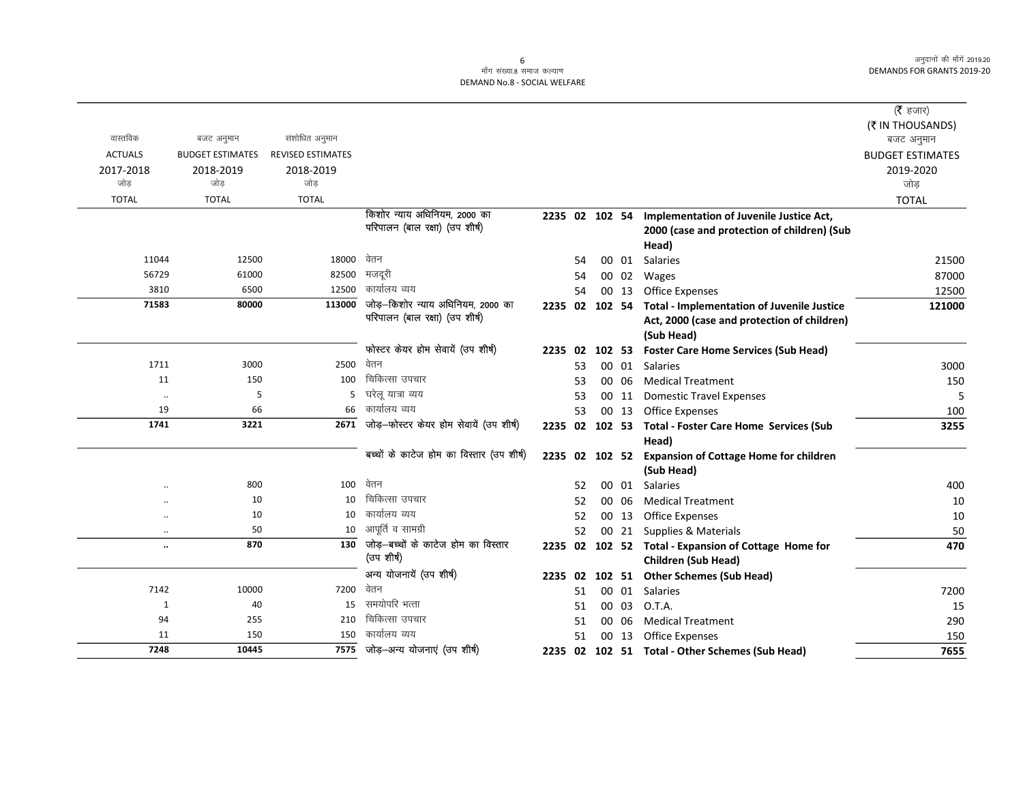#### ्<br>माँग संख्या.8 समाज कल्याण DEMAND No.8 - SOCIAL WELFARE

|                |                         |                          |                                           |                |    |        |       |                                                       | ( $\bar{\tau}$ हजार)    |
|----------------|-------------------------|--------------------------|-------------------------------------------|----------------|----|--------|-------|-------------------------------------------------------|-------------------------|
|                |                         |                          |                                           |                |    |        |       |                                                       | (₹ IN THOUSANDS)        |
| वास्तविक       | बजट अनुमान              | संशोधित अनुमान           |                                           |                |    |        |       |                                                       | बजट अनुमान              |
| <b>ACTUALS</b> | <b>BUDGET ESTIMATES</b> | <b>REVISED ESTIMATES</b> |                                           |                |    |        |       |                                                       | <b>BUDGET ESTIMATES</b> |
| 2017-2018      | 2018-2019               | 2018-2019                |                                           |                |    |        |       |                                                       | 2019-2020               |
| जोड़           | जोड                     | जोड                      |                                           |                |    |        |       |                                                       | जोड                     |
| <b>TOTAL</b>   | <b>TOTAL</b>            | <b>TOTAL</b>             |                                           |                |    |        |       |                                                       | <b>TOTAL</b>            |
|                |                         |                          | किशोर न्याय अधिनियम, 2000 का              | 2235 02 102 54 |    |        |       | Implementation of Juvenile Justice Act,               |                         |
|                |                         |                          | परिपालन (बाल रक्षा) (उप शीर्ष)            |                |    |        |       | 2000 (case and protection of children) (Sub           |                         |
|                |                         |                          |                                           |                |    |        |       | Head)                                                 |                         |
| 11044          | 12500                   | 18000                    | वेतन                                      |                | 54 |        | 00 01 | Salaries                                              | 21500                   |
| 56729          | 61000                   | 82500                    | मजदूरी                                    |                | 54 |        | 00 02 | Wages                                                 | 87000                   |
| 3810           | 6500                    | 12500                    | कार्यालय व्यय                             |                | 54 |        | 00 13 | <b>Office Expenses</b>                                | 12500                   |
| 71583          | 80000                   | 113000                   | जोड़-किशोर न्याय अधिनियम, 2000 का         | 2235 02 102 54 |    |        |       | <b>Total - Implementation of Juvenile Justice</b>     | 121000                  |
|                |                         |                          | परिपालन (बाल रक्षा) (उप शीर्ष)            |                |    |        |       | Act, 2000 (case and protection of children)           |                         |
|                |                         |                          |                                           |                |    |        |       | (Sub Head)                                            |                         |
|                |                         |                          | फोस्टर केयर होम सेवायें (उप शीर्ष)        | 2235 02        |    | 102 53 |       | <b>Foster Care Home Services (Sub Head)</b>           |                         |
| 1711           | 3000                    | 2500                     | वेतन                                      |                | 53 |        | 00 01 | Salaries                                              | 3000                    |
| 11             | 150                     | 100                      | चिकित्सा उपचार                            |                | 53 |        | 00 06 | <b>Medical Treatment</b>                              | 150                     |
| $\ddotsc$      | 5                       | 5                        | घरेलू यात्रा व्यय                         |                | 53 |        | 00 11 | <b>Domestic Travel Expenses</b>                       | 5                       |
| 19             | 66                      | 66                       | कार्यालय व्यय                             |                | 53 |        | 00 13 | <b>Office Expenses</b>                                | 100                     |
| 1741           | 3221                    | 2671                     | जोड़-फोस्टर केयर होम सेवायें (उप शीर्ष)   | 2235 02 102 53 |    |        |       | <b>Total - Foster Care Home Services (Sub</b>         | 3255                    |
|                |                         |                          |                                           |                |    |        |       | Head)                                                 |                         |
|                |                         |                          | बच्चों के काटेज होम का विस्तार (उप शीर्ष) |                |    |        |       | 2235 02 102 52 Expansion of Cottage Home for children |                         |
|                |                         |                          |                                           |                |    |        |       | (Sub Head)                                            |                         |
|                | 800                     | 100                      | वेतन                                      |                | 52 |        | 00 01 | <b>Salaries</b>                                       | 400                     |
|                | 10                      | 10                       | चिकित्सा उपचार                            |                | 52 |        | 00 06 | <b>Medical Treatment</b>                              | 10                      |
|                | 10                      | 10                       | कार्यालय व्यय                             |                | 52 |        |       | 00 13 Office Expenses                                 | 10                      |
| $\ddotsc$      | 50                      | 10                       | आपूर्ति व सामग्री                         |                | 52 |        |       | 00 21 Supplies & Materials                            | 50                      |
| $\ldots$       | 870                     | 130                      | जोड़—बच्चों के काटेज होम का विस्तार       |                |    |        |       | 2235 02 102 52 Total - Expansion of Cottage Home for  | 470                     |
|                |                         |                          | (उप शीर्ष)                                |                |    |        |       | Children (Sub Head)                                   |                         |
|                |                         |                          | अन्य योजनायें (उप शीर्ष)                  | 2235 02        |    |        |       | 102 51 Other Schemes (Sub Head)                       |                         |
| 7142           | 10000                   | 7200                     | वेतन                                      |                | 51 |        |       | 00 01 Salaries                                        | 7200                    |
| $\mathbf{1}$   | 40                      | 15                       | समयोपरि भत्ता                             |                | 51 |        | 00 03 | O.T.A.                                                | 15                      |
| 94             | 255                     | 210                      | चिकित्सा उपचार                            |                | 51 |        | 00 06 | <b>Medical Treatment</b>                              | 290                     |
| 11             | 150                     | 150                      | कार्यालय व्यय                             |                | 51 |        | 00 13 | <b>Office Expenses</b>                                | 150                     |
| 7248           | 10445                   |                          | 7575 जोड़-अन्य योजनाएं (उप शीर्ष)         |                |    |        |       | 2235 02 102 51 Total - Other Schemes (Sub Head)       | 7655                    |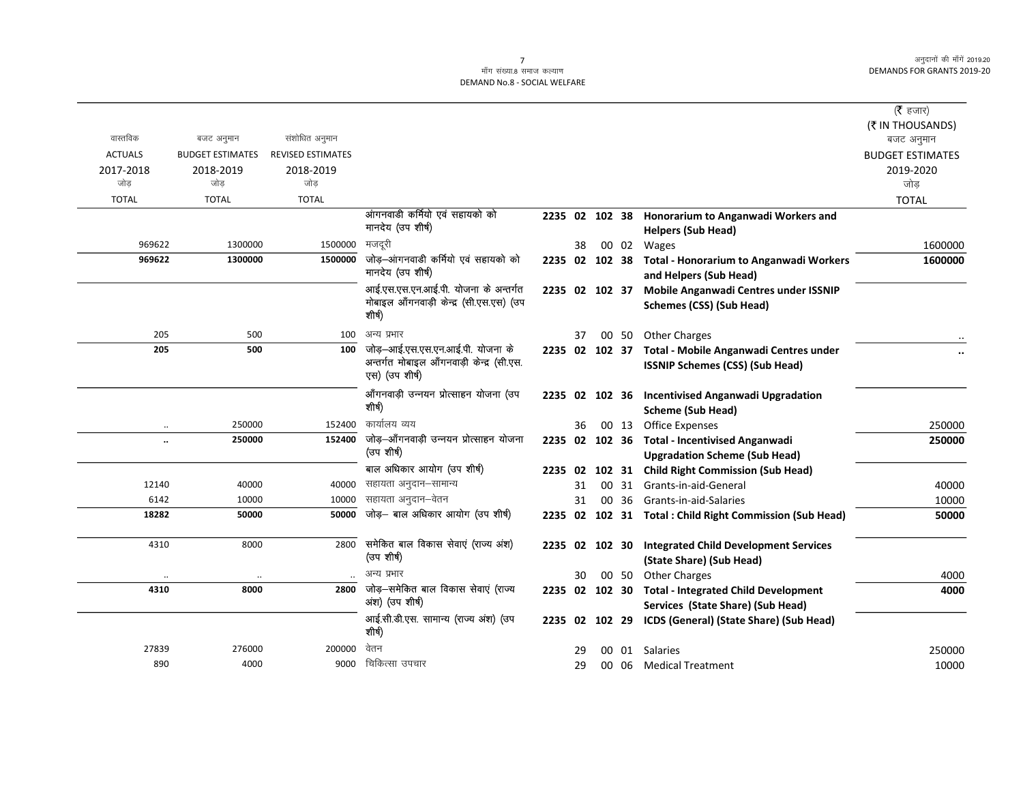|                      |                         |                          |                                                             |                |    |       |                                                          | ( $\bar{\tau}$ हजार)    |
|----------------------|-------------------------|--------------------------|-------------------------------------------------------------|----------------|----|-------|----------------------------------------------------------|-------------------------|
|                      |                         |                          |                                                             |                |    |       |                                                          | (₹ IN THOUSANDS)        |
| वास्तविक             | बजट अनुमान              | संशोधित अनुमान           |                                                             |                |    |       |                                                          | बजट अनुमान              |
| <b>ACTUALS</b>       | <b>BUDGET ESTIMATES</b> | <b>REVISED ESTIMATES</b> |                                                             |                |    |       |                                                          | <b>BUDGET ESTIMATES</b> |
| 2017-2018            | 2018-2019               | 2018-2019                |                                                             |                |    |       |                                                          | 2019-2020               |
| जोड                  | जोड                     | जोड                      |                                                             |                |    |       |                                                          | जोड                     |
| <b>TOTAL</b>         | <b>TOTAL</b>            | <b>TOTAL</b>             |                                                             |                |    |       |                                                          | <b>TOTAL</b>            |
|                      |                         |                          | आंगनवाडी कर्मियो एवं सहायको को                              | 2235 02 102 38 |    |       | Honorarium to Anganwadi Workers and                      |                         |
|                      |                         |                          | मानदेय (उप शीर्ष)                                           |                |    |       | <b>Helpers (Sub Head)</b>                                |                         |
| 969622               | 1300000                 | 1500000                  | मजदरी                                                       |                | 38 | 00 02 | Wages                                                    | 1600000                 |
| 969622               | 1300000                 | 1500000                  | जोड़-आंगनवाडी कर्मियो एवं सहायको को                         | 2235 02 102 38 |    |       | Total - Honorarium to Anganwadi Workers                  | 1600000                 |
|                      |                         |                          | मानदेय (उप शीर्ष)                                           |                |    |       | and Helpers (Sub Head)                                   |                         |
|                      |                         |                          | आई.एस.एस.एन.आई.पी. योजना के अन्तर्गत                        | 2235 02 102 37 |    |       | Mobile Anganwadi Centres under ISSNIP                    |                         |
|                      |                         |                          | मोबाइल आँगनवाड़ी केन्द्र (सी.एस.एस) (उप                     |                |    |       | Schemes (CSS) (Sub Head)                                 |                         |
|                      |                         |                          | शीर्ष)                                                      |                |    |       |                                                          |                         |
| 205                  | 500                     | 100                      | अन्य प्रभार                                                 |                | 37 |       | 00 50 Other Charges                                      |                         |
| 205                  | 500                     | 100                      | जोड़—आई.एस.एस.एन.आई.पी. योजना के                            | 2235 02 102 37 |    |       | Total - Mobile Anganwadi Centres under                   |                         |
|                      |                         |                          | अन्तर्गत मोबाइल आँगनवाड़ी केन्द्र (सी.एस.<br>एस) (उप शीर्ष) |                |    |       | <b>ISSNIP Schemes (CSS) (Sub Head)</b>                   |                         |
|                      |                         |                          | आँगनवाड़ी उन्नयन प्रोत्साहन योजना (उप                       | 2235 02 102 36 |    |       | <b>Incentivised Anganwadi Upgradation</b>                |                         |
|                      |                         |                          | शीर्ष)                                                      |                |    |       | <b>Scheme (Sub Head)</b>                                 |                         |
| $\cdot\cdot$         | 250000                  | 152400                   | कार्यालय व्यय                                               |                | 36 | 00 13 | <b>Office Expenses</b>                                   | 250000                  |
| $\ddot{\phantom{a}}$ | 250000                  | 152400                   | जोड़–आँगनवाड़ी उन्नयन प्रोत्साहन योजना                      |                |    |       | 2235 02 102 36 Total - Incentivised Anganwadi            | 250000                  |
|                      |                         |                          | (उप शीर्ष)                                                  |                |    |       | <b>Upgradation Scheme (Sub Head)</b>                     |                         |
|                      |                         |                          | बाल अधिकार आयोग (उप शीर्ष)                                  | 2235 02        |    |       | 102 31 Child Right Commission (Sub Head)                 |                         |
| 12140                | 40000                   | 40000                    | सहायता अनुदान–सामान्य                                       |                | 31 |       | 00 31 Grants-in-aid-General                              | 40000                   |
| 6142                 | 10000                   | 10000                    | सहायता अनुदान–वेतन                                          |                | 31 |       | 00 36 Grants-in-aid-Salaries                             | 10000                   |
| 18282                | 50000                   | 50000                    | जोड़— बाल अधिकार आयोग (उप शीर्ष)                            |                |    |       | 2235 02 102 31 Total : Child Right Commission (Sub Head) | 50000                   |
|                      |                         |                          |                                                             |                |    |       |                                                          |                         |
| 4310                 | 8000                    | 2800                     | समेकित बाल विकास सेवाएं (राज्य अंश)                         | 2235           |    |       | 02 102 30 Integrated Child Development Services          |                         |
|                      |                         |                          | (उप शीर्ष)                                                  |                |    |       | (State Share) (Sub Head)                                 |                         |
| $\ddot{\phantom{0}}$ |                         |                          | अन्य प्रभार                                                 |                | 30 | 00 50 | <b>Other Charges</b>                                     | 4000                    |
| 4310                 | 8000                    | 2800                     | जोड़–समेकित बाल विकास सेवाएं (राज्य                         |                |    |       | 2235 02 102 30 Total - Integrated Child Development      | 4000                    |
|                      |                         |                          | अंश) (उप शीर्ष)                                             |                |    |       | Services (State Share) (Sub Head)                        |                         |
|                      |                         |                          | आई.सी.डी.एस. सामान्य (राज्य अंश) (उप<br>शीर्ष)              | 2235 02 102 29 |    |       | ICDS (General) (State Share) (Sub Head)                  |                         |
| 27839                | 276000                  | 200000                   | वेतन                                                        |                | 29 |       | 00 01 Salaries                                           | 250000                  |
| 890                  | 4000                    | 9000                     | चिकित्सा उपचार                                              |                | 29 |       | 00 06 Medical Treatment                                  | 10000                   |
|                      |                         |                          |                                                             |                |    |       |                                                          |                         |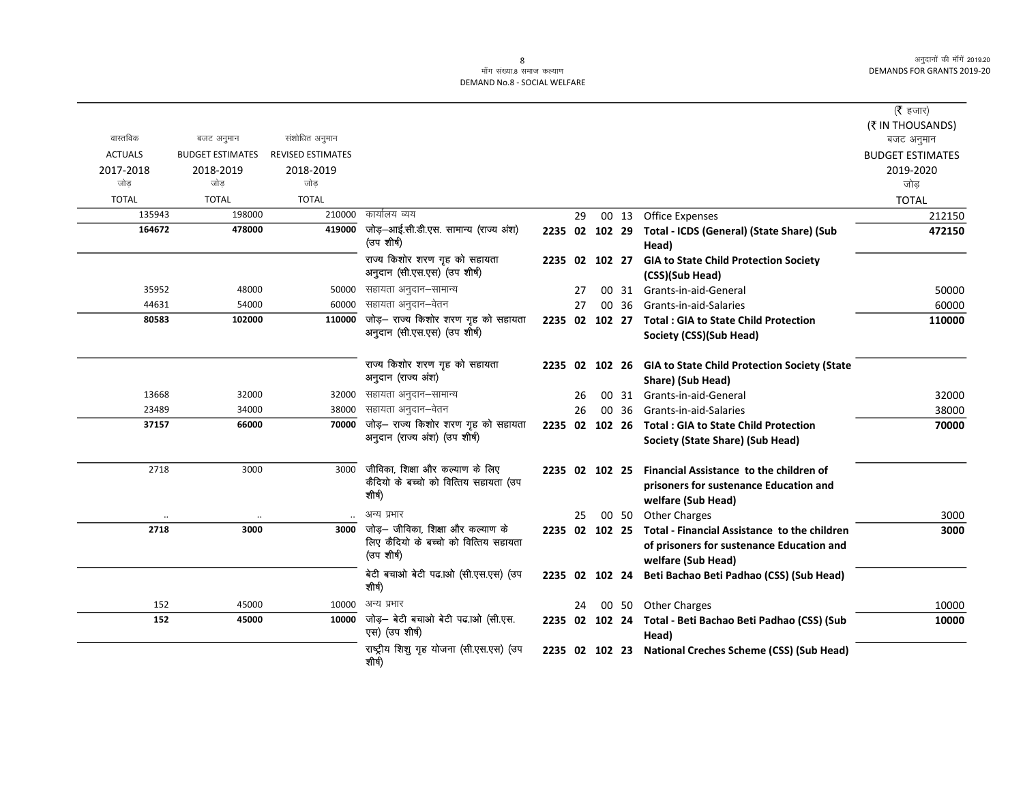#### ्<br>माँग संख्या.8 समाज कल्याण DEMAND No.8 - SOCIAL WELFARE

|                |                         |                          |                                                      |                |    |                 |       |                                                                    | (रै हजार)               |
|----------------|-------------------------|--------------------------|------------------------------------------------------|----------------|----|-----------------|-------|--------------------------------------------------------------------|-------------------------|
|                |                         |                          |                                                      |                |    |                 |       |                                                                    | (₹ IN THOUSANDS)        |
| वास्तविक       | बजट अनुमान              | संशोधित अनुमान           |                                                      |                |    |                 |       |                                                                    | बजट अनुमान              |
| <b>ACTUALS</b> | <b>BUDGET ESTIMATES</b> | <b>REVISED ESTIMATES</b> |                                                      |                |    |                 |       |                                                                    | <b>BUDGET ESTIMATES</b> |
| 2017-2018      | 2018-2019               | 2018-2019                |                                                      |                |    |                 |       |                                                                    | 2019-2020               |
| जोड            | जोड                     | जोड                      |                                                      |                |    |                 |       |                                                                    | जोड                     |
| <b>TOTAL</b>   | <b>TOTAL</b>            | <b>TOTAL</b>             |                                                      |                |    |                 |       |                                                                    | <b>TOTAL</b>            |
| 135943         | 198000                  | 210000                   | कार्यालय व्यय                                        |                | 29 |                 | 00 13 | Office Expenses                                                    | 212150                  |
| 164672         | 478000                  | 419000                   | जोड़-आई.सी.डी.एस. सामान्य (राज्य अंश)<br>(उप शीर्ष)  | 2235 02 102 29 |    |                 |       | Total - ICDS (General) (State Share) (Sub<br>Head)                 | 472150                  |
|                |                         |                          | राज्य किशोर शरण गृह को सहायता                        | 2235 02 102 27 |    |                 |       | <b>GIA to State Child Protection Society</b>                       |                         |
|                |                         |                          | अनुदान (सी.एस.एस) (उप शीर्ष)                         |                |    |                 |       | (CSS)(Sub Head)                                                    |                         |
| 35952          | 48000                   | 50000                    | सहायता अनुदान–सामान्य                                |                | 27 | 00              |       | 31 Grants-in-aid-General                                           | 50000                   |
| 44631          | 54000                   | 60000                    | सहायता अनुदान–वेतन                                   |                | 27 | 00.             | 36    | Grants-in-aid-Salaries                                             | 60000                   |
| 80583          | 102000                  | 110000                   | जोड़- राज्य किशोर शरण गृह को सहायता                  | 2235 02 102 27 |    |                 |       | <b>Total: GIA to State Child Protection</b>                        | 110000                  |
|                |                         |                          | अनुदान (सी.एस.एस) (उप शीर्ष)                         |                |    |                 |       | Society (CSS)(Sub Head)                                            |                         |
|                |                         |                          | राज्य किशोर शरण गृह को सहायता                        |                |    |                 |       | 2235 02 102 26 GIA to State Child Protection Society (State        |                         |
|                |                         |                          | अनुदान (राज्य अंश)                                   |                |    |                 |       | Share) (Sub Head)                                                  |                         |
| 13668          | 32000                   | 32000                    | सहायता अनुदान–सामान्य                                |                | 26 | 00              |       | 31 Grants-in-aid-General                                           | 32000                   |
| 23489          | 34000                   | 38000                    | सहायता अनुदान–वेतन                                   |                | 26 | 00 <sup>1</sup> | 36    | Grants-in-aid-Salaries                                             | 38000                   |
| 37157          | 66000                   | 70000                    | जोड़- राज्य किशोर शरण गृह को सहायता                  | 2235 02 102 26 |    |                 |       | <b>Total: GIA to State Child Protection</b>                        | 70000                   |
|                |                         |                          | अनुदान (राज्य अंश) (उप शीर्ष)                        |                |    |                 |       | Society (State Share) (Sub Head)                                   |                         |
| 2718           | 3000                    | 3000                     | जीविका, शिक्षा और कल्याण के लिए                      | 2235 02 102 25 |    |                 |       | Financial Assistance to the children of                            |                         |
|                |                         |                          | कैंदियो के बच्चो को वित्तिय सहायता (उप               |                |    |                 |       | prisoners for sustenance Education and                             |                         |
|                |                         |                          | शीर्ष)                                               |                |    |                 |       | welfare (Sub Head)                                                 |                         |
|                |                         |                          | अन्य प्रभार                                          |                | 25 |                 |       | 00 50 Other Charges                                                | 3000                    |
| 2718           | 3000                    | 3000                     | जोड़— जीविका, शिक्षा और कल्याण के                    | 2235 02 102 25 |    |                 |       | Total - Financial Assistance to the children                       | 3000                    |
|                |                         |                          | लिए कैंदियो के बच्चो को वित्तिय सहायता<br>(उप शीर्ष) |                |    |                 |       | of prisoners for sustenance Education and                          |                         |
|                |                         |                          |                                                      |                |    |                 |       | welfare (Sub Head)                                                 |                         |
|                |                         |                          | बेटी बचाओ बेटी पढ.ाओ (सी.एस.एस) (उप<br>शीर्ष)        | 2235 02 102 24 |    |                 |       | Beti Bachao Beti Padhao (CSS) (Sub Head)                           |                         |
| 152            | 45000                   | 10000                    | अन्य प्रभार                                          |                | 24 |                 |       | 00 50 Other Charges                                                | 10000                   |
| 152            | 45000                   | 10000                    | जोड़- बेटी बचाओ बेटी पढ.ाओ (सी.एस.<br>एस) (उप शीर्ष) |                |    |                 |       | 2235 02 102 24 Total - Beti Bachao Beti Padhao (CSS) (Sub<br>Head) | 10000                   |
|                |                         |                          | राष्ट्रीय शिशु गृह योजना (सी.एस.एस) (उप<br>शीर्ष)    | 2235 02 102 23 |    |                 |       | <b>National Creches Scheme (CSS) (Sub Head)</b>                    |                         |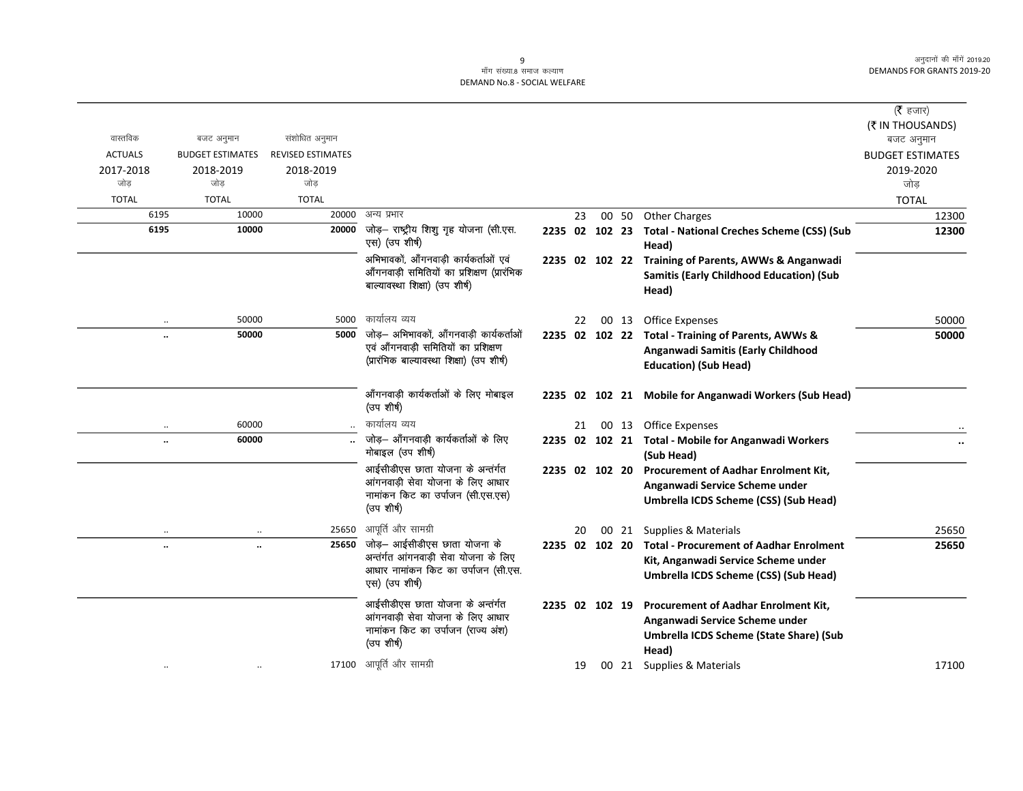#### ्<br>माँग संख्या.8 समाज कल्याण DEMAND No.8 - SOCIAL WELFARE

| वास्तविक             |                         | संशोधित अनुमान           |                                                                              |                |    |                |       |                                                                    | ( $\bar{\tau}$ हजार)<br>(₹ IN THOUSANDS) |
|----------------------|-------------------------|--------------------------|------------------------------------------------------------------------------|----------------|----|----------------|-------|--------------------------------------------------------------------|------------------------------------------|
|                      | बजट अनुमान              |                          |                                                                              |                |    |                |       |                                                                    | बजट अनुमान                               |
| <b>ACTUALS</b>       | <b>BUDGET ESTIMATES</b> | <b>REVISED ESTIMATES</b> |                                                                              |                |    |                |       |                                                                    | <b>BUDGET ESTIMATES</b>                  |
| 2017-2018<br>जोड     | 2018-2019<br>जोड        | 2018-2019<br>जोड़        |                                                                              |                |    |                |       |                                                                    | 2019-2020<br>जोड                         |
| <b>TOTAL</b>         | <b>TOTAL</b>            | <b>TOTAL</b>             |                                                                              |                |    |                |       |                                                                    | <b>TOTAL</b>                             |
| 6195                 | 10000                   | 20000                    | अन्य प्रभार                                                                  |                | 23 |                |       | 00 50 Other Charges                                                | 12300                                    |
| 6195                 | 10000                   | 20000                    | जोड़- राष्ट्रीय शिशु गृह योजना (सी.एस.<br>एस) (उप शीर्ष)                     |                |    |                |       | 2235 02 102 23 Total - National Creches Scheme (CSS) (Sub<br>Head) | 12300                                    |
|                      |                         |                          | अभिभावकों, आँगनवाड़ी कार्यकर्ताओं एवं                                        |                |    |                |       | 2235 02 102 22 Training of Parents, AWWs & Anganwadi               |                                          |
|                      |                         |                          | आँगनवाड़ी समितियों का प्रशिक्षण (प्रारंभिक<br>बाल्यावस्था शिक्षा) (उप शीर्ष) |                |    |                |       | <b>Samitis (Early Childhood Education) (Sub</b><br>Head)           |                                          |
|                      |                         |                          |                                                                              |                |    |                |       |                                                                    |                                          |
|                      | 50000                   | 5000                     | कार्यालय व्यय                                                                |                | 22 |                | 00 13 | <b>Office Expenses</b>                                             | 50000                                    |
| $\ddot{\phantom{a}}$ | 50000                   | 5000                     | जोड़— अभिभावकों, आँगनवाड़ी कार्यकर्ताओं                                      |                |    | 2235 02 102 22 |       | Total - Training of Parents, AWWs &                                | 50000                                    |
|                      |                         |                          | एवं आँगनवाड़ी समितियों का प्रशिक्षण                                          |                |    |                |       | Anganwadi Samitis (Early Childhood                                 |                                          |
|                      |                         |                          | (प्रारंभिक बाल्यावस्था शिक्षा) (उप शीर्ष)                                    |                |    |                |       | <b>Education) (Sub Head)</b>                                       |                                          |
|                      |                         |                          | आँगनवाड़ी कार्यकर्ताओं के लिए मोबाइल<br>(उप शीर्ष)                           |                |    |                |       | 2235 02 102 21 Mobile for Anganwadi Workers (Sub Head)             |                                          |
| $\ddotsc$            | 60000                   |                          | कार्यालय व्यय                                                                |                | 21 |                | 00 13 | <b>Office Expenses</b>                                             |                                          |
| $\ddot{\phantom{a}}$ | 60000                   |                          | जोड़— आँगनवाड़ी कार्यकर्ताओं के लिए<br>मोबाइल (उप शीर्ष)                     |                |    |                |       | 2235 02 102 21 Total - Mobile for Anganwadi Workers<br>(Sub Head)  |                                          |
|                      |                         |                          | आईसीडीएस छाता योजना के अन्तंर्गत                                             |                |    | 2235 02 102 20 |       | <b>Procurement of Aadhar Enrolment Kit,</b>                        |                                          |
|                      |                         |                          | आंगनवाड़ी सेवा योजना के लिए आधार                                             |                |    |                |       | Anganwadi Service Scheme under                                     |                                          |
|                      |                         |                          | नामांकन किट का उर्पाजन (सी.एस.एस)<br>(उप शीर्ष)                              |                |    |                |       | Umbrella ICDS Scheme (CSS) (Sub Head)                              |                                          |
|                      |                         |                          | 25650 आपूर्ति और सामग्री                                                     |                | 20 |                | 00 21 | Supplies & Materials                                               | 25650                                    |
| $\ddotsc$            | $\ddotsc$               | 25650                    | जोड़- आईसीडीएस छाता योजना के                                                 | 2235 02 102 20 |    |                |       | <b>Total - Procurement of Aadhar Enrolment</b>                     | 25650                                    |
|                      |                         |                          | अन्तर्गत आंगनवाड़ी सेवा योजना के लिए                                         |                |    |                |       | Kit, Anganwadi Service Scheme under                                |                                          |
|                      |                         |                          | आधार नामांकन किट का उर्पाजन (सी.एस.<br>एस) (उप शीर्ष)                        |                |    |                |       | Umbrella ICDS Scheme (CSS) (Sub Head)                              |                                          |
|                      |                         |                          | आईसीडीएस छाता योजना के अन्तर्गत                                              |                |    | 2235 02 102 19 |       | <b>Procurement of Aadhar Enrolment Kit,</b>                        |                                          |
|                      |                         |                          | आंगनवाड़ी सेवा योजना के लिए आधार                                             |                |    |                |       | Anganwadi Service Scheme under                                     |                                          |
|                      |                         |                          | नामांकन किट का उर्पाजन (राज्य अंश)<br>(उप शीर्ष)                             |                |    |                |       | Umbrella ICDS Scheme (State Share) (Sub                            |                                          |
|                      |                         |                          |                                                                              |                |    |                |       | Head)                                                              |                                          |
|                      |                         |                          | 17100 आपूर्ति और सामग्री                                                     |                | 19 |                |       | 00 21 Supplies & Materials                                         | 17100                                    |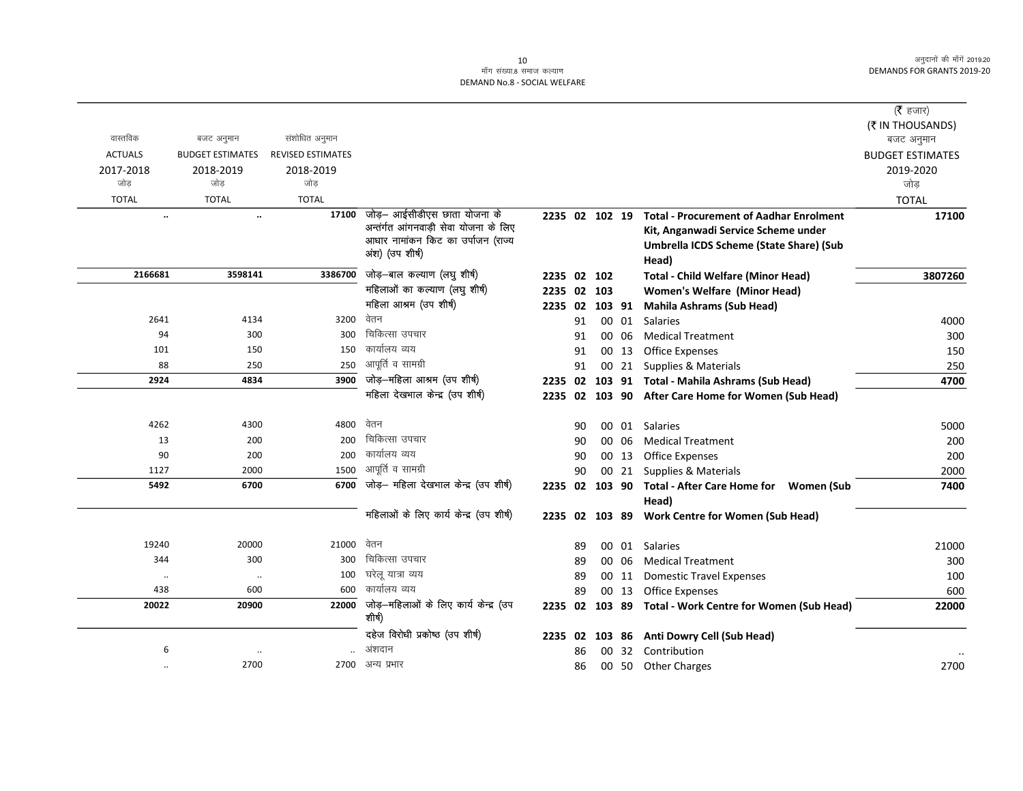## ्र<br>माँग संख्या.8 समाज कल्याण DEMAND No.8 - SOCIAL WELFARE

|                  |                                       |                          |                                                 |                |    |       |                                                                | ( $\bar{\tau}$ हजार)    |
|------------------|---------------------------------------|--------------------------|-------------------------------------------------|----------------|----|-------|----------------------------------------------------------------|-------------------------|
| वास्तविक         |                                       | संशोधित अनुमान           |                                                 |                |    |       |                                                                | (₹ IN THOUSANDS)        |
| <b>ACTUALS</b>   | बजट अनुमान<br><b>BUDGET ESTIMATES</b> | <b>REVISED ESTIMATES</b> |                                                 |                |    |       |                                                                | बजट अनुमान              |
|                  |                                       |                          |                                                 |                |    |       |                                                                | <b>BUDGET ESTIMATES</b> |
| 2017-2018<br>जोड | 2018-2019<br>जोड                      | 2018-2019<br>जोड         |                                                 |                |    |       |                                                                | 2019-2020<br>जोड़       |
| <b>TOTAL</b>     | <b>TOTAL</b>                          | <b>TOTAL</b>             |                                                 |                |    |       |                                                                | <b>TOTAL</b>            |
| $\ddotsc$        | $\ddotsc$                             | 17100                    | जोड़– आईसीडीएस छाता योजना के                    | 2235 02 102 19 |    |       | <b>Total - Procurement of Aadhar Enrolment</b>                 | 17100                   |
|                  |                                       |                          | अन्तर्गत आंगनवाड़ी सेवा योजना के लिए            |                |    |       | Kit, Anganwadi Service Scheme under                            |                         |
|                  |                                       |                          | आधार नामांकन किट का उर्पाजन (राज्य              |                |    |       | Umbrella ICDS Scheme (State Share) (Sub                        |                         |
|                  |                                       |                          | अंश) (उप शीर्ष)                                 |                |    |       | Head)                                                          |                         |
| 2166681          | 3598141                               | 3386700                  | जोड़-बाल कल्याण (लघु शीर्ष)                     | 2235 02 102    |    |       | <b>Total - Child Welfare (Minor Head)</b>                      | 3807260                 |
|                  |                                       |                          | महिलाओं का कल्याण (लघु शीर्ष)                   | 2235 02 103    |    |       | <b>Women's Welfare (Minor Head)</b>                            |                         |
|                  |                                       |                          | महिला आश्रम (उप शीर्ष)                          | 2235 02 103 91 |    |       | <b>Mahila Ashrams (Sub Head)</b>                               |                         |
| 2641             | 4134                                  | 3200                     | वेतन                                            |                | 91 | 00 01 | <b>Salaries</b>                                                | 4000                    |
| 94               | 300                                   | 300                      | चिकित्सा उपचार                                  |                | 91 | 00 06 | <b>Medical Treatment</b>                                       | 300                     |
| 101              | 150                                   | 150                      | कार्यालय व्यय                                   |                | 91 | 00 13 | <b>Office Expenses</b>                                         | 150                     |
| 88               | 250                                   | 250                      | आपूर्ति व सामग्री                               |                | 91 | 00 21 | Supplies & Materials                                           | 250                     |
| 2924             | 4834                                  | 3900                     | जोड़-महिला आश्रम (उप शीर्ष)                     | 2235 02        |    |       | 103 91 Total - Mahila Ashrams (Sub Head)                       | 4700                    |
|                  |                                       |                          | महिला देखभाल केन्द्र (उप शीर्ष)                 |                |    |       | 2235 02 103 90 After Care Home for Women (Sub Head)            |                         |
| 4262             | 4300                                  | 4800                     | वेतन                                            |                | 90 |       | 00 01 Salaries                                                 | 5000                    |
| 13               | 200                                   | 200                      | चिकित्सा उपचार                                  |                | 90 | 00 06 | <b>Medical Treatment</b>                                       | 200                     |
| 90               | 200                                   | 200                      | कार्यालय व्यय                                   |                | 90 |       | 00 13 Office Expenses                                          | 200                     |
| 1127             | 2000                                  | 1500                     | आपूर्ति व सामग्री                               |                | 90 |       | 00 21 Supplies & Materials                                     | 2000                    |
| 5492             | 6700                                  | 6700                     | जोड़– महिला देखभाल केन्द्र (उप शीर्ष)           |                |    |       | 2235 02 103 90 Total - After Care Home for Women (Sub<br>Head) | 7400                    |
|                  |                                       |                          | महिलाओं के लिए कार्य केन्द्र (उप शीर्ष)         |                |    |       | 2235 02 103 89 Work Centre for Women (Sub Head)                |                         |
| 19240            | 20000                                 | 21000                    | वेतन                                            |                | 89 |       | 00 01 Salaries                                                 | 21000                   |
| 344              | 300                                   | 300                      | चिकित्सा उपचार                                  |                | 89 | 00 06 | <b>Medical Treatment</b>                                       | 300                     |
| $\cdot\cdot$     | $\ldots$                              | 100                      | घरेलू यात्रा व्यय                               |                | 89 | 00 11 | <b>Domestic Travel Expenses</b>                                | 100                     |
| 438              | 600                                   | 600                      | कार्यालय व्यय                                   |                | 89 | 00 13 | Office Expenses                                                | 600                     |
| 20022            | 20900                                 | 22000                    | जोड़—महिलाओं के लिए कार्य केन्द्र (उप<br>शीर्ष) |                |    |       | 2235 02 103 89 Total - Work Centre for Women (Sub Head)        | 22000                   |
|                  |                                       |                          | दहेज विरोधी प्रकोष्ठ (उप शीर्ष)                 | 2235 02        |    |       | 103 86 Anti Dowry Cell (Sub Head)                              |                         |
| 6                | $\ddotsc$                             |                          | अंशदान                                          |                | 86 |       | 00 32 Contribution                                             |                         |
| $\ddotsc$        | 2700                                  | 2700                     | अन्य प्रभार                                     |                | 86 |       | 00 50 Other Charges                                            | 2700                    |
|                  |                                       |                          |                                                 |                |    |       |                                                                |                         |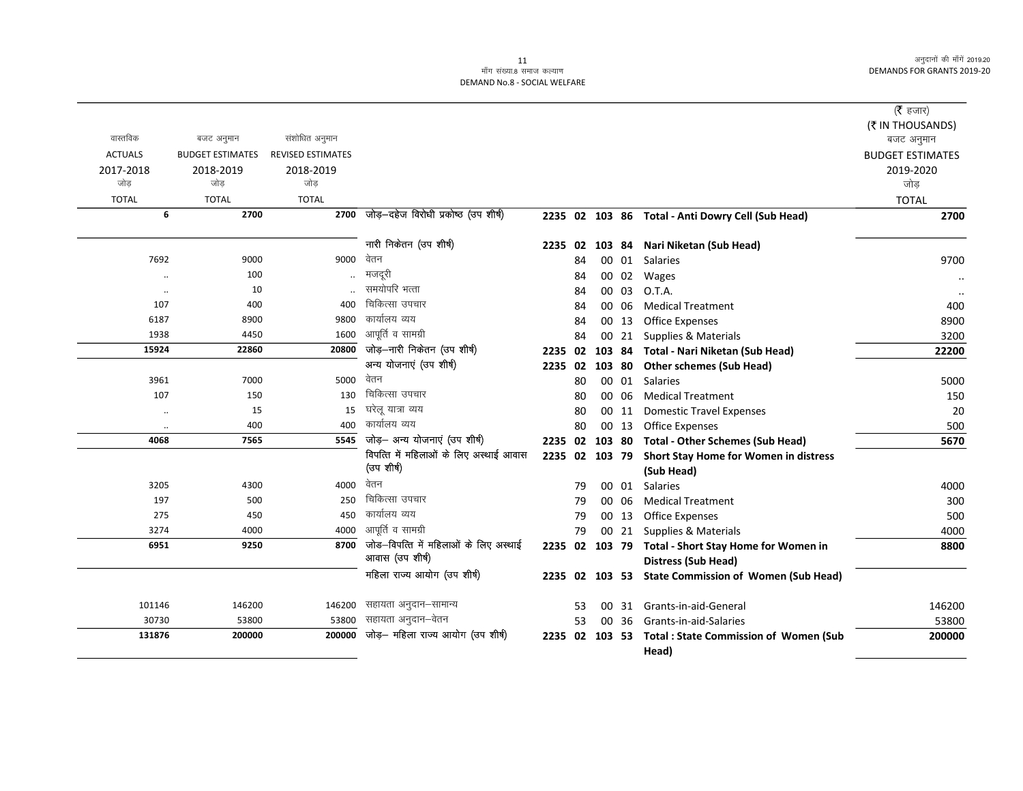# 11<br>माँग संख्या.8 समाज कल्याण DEMAND No.8 - SOCIAL WELFARE

|                      |                         |                          |                                                 |                |    |        |       |                                                      | (रै हजार)               |
|----------------------|-------------------------|--------------------------|-------------------------------------------------|----------------|----|--------|-------|------------------------------------------------------|-------------------------|
|                      |                         |                          |                                                 |                |    |        |       |                                                      | (₹ IN THOUSANDS)        |
| वास्तविक             | बजट अनुमान              | संशोधित अनुमान           |                                                 |                |    |        |       |                                                      | बजट अनुमान              |
| <b>ACTUALS</b>       | <b>BUDGET ESTIMATES</b> | <b>REVISED ESTIMATES</b> |                                                 |                |    |        |       |                                                      | <b>BUDGET ESTIMATES</b> |
| 2017-2018            | 2018-2019               | 2018-2019                |                                                 |                |    |        |       |                                                      | 2019-2020               |
| जोड                  | जोड                     | जोड                      |                                                 |                |    |        |       |                                                      | जोड                     |
| <b>TOTAL</b>         | <b>TOTAL</b>            | <b>TOTAL</b>             |                                                 |                |    |        |       |                                                      | <b>TOTAL</b>            |
| 6                    | 2700                    | 2700                     | जोड़-दहेज विरोधी प्रकोष्ठ (उप शीर्ष)            |                |    |        |       | 2235 02 103 86 Total - Anti Dowry Cell (Sub Head)    | 2700                    |
|                      |                         |                          |                                                 |                |    |        |       |                                                      |                         |
|                      |                         |                          | नारी निकेतन (उप शीर्ष)<br>वेतन                  |                |    |        |       | 2235 02 103 84 Nari Niketan (Sub Head)               |                         |
| 7692                 | 9000                    | 9000                     | मजदरी                                           |                | 84 |        |       | 00 01 Salaries                                       | 9700                    |
| $\ddot{\phantom{a}}$ | 100                     | $\ddotsc$                | समयोपरि भत्ता                                   |                | 84 |        |       | 00 02 Wages                                          |                         |
| $\ldots$             | 10                      |                          | चिकित्सा उपचार                                  |                | 84 |        | 00 03 | O.T.A.                                               |                         |
| 107                  | 400                     | 400                      |                                                 |                | 84 |        | 00 06 | <b>Medical Treatment</b>                             | 400                     |
| 6187                 | 8900                    | 9800                     | कार्यालय व्यय                                   |                | 84 |        | 00 13 | <b>Office Expenses</b>                               | 8900                    |
| 1938                 | 4450                    | 1600                     | आपूर्ति व सामग्री                               |                | 84 |        | 00 21 | Supplies & Materials                                 | 3200                    |
| 15924                | 22860                   |                          | 20800 जोड़-नारी निकेतन (उप शीर्ष)               | 2235 02        |    |        |       | 103 84 Total - Nari Niketan (Sub Head)               | 22200                   |
|                      |                         |                          | अन्य योजनाएं (उप शीर्ष)                         | 2235 02        |    | 103 80 |       | <b>Other schemes (Sub Head)</b>                      |                         |
| 3961                 | 7000                    | 5000                     | वेतन                                            |                | 80 |        | 00 01 | <b>Salaries</b>                                      | 5000                    |
| 107                  | 150                     | 130                      | चिकित्सा उपचार                                  |                | 80 |        | 00 06 | <b>Medical Treatment</b>                             | 150                     |
| $\ldots$             | 15                      | 15                       | घरेल यात्रा व्यय                                |                | 80 |        | 00 11 | <b>Domestic Travel Expenses</b>                      | 20                      |
| $\ldots$             | 400                     | 400                      | कार्यालय व्यय                                   |                | 80 |        | 00 13 | <b>Office Expenses</b>                               | 500                     |
| 4068                 | 7565                    |                          | $\overline{5545}$ जोड़- अन्य योजनाएं (उप शीर्ष) | 2235 02        |    | 103 80 |       | <b>Total - Other Schemes (Sub Head)</b>              | 5670                    |
|                      |                         |                          | विपत्ति में महिलाओं के लिए अस्थाई आवास          | 2235 02 103 79 |    |        |       | Short Stay Home for Women in distress                |                         |
|                      |                         |                          | (उप शीर्ष)                                      |                |    |        |       | (Sub Head)                                           |                         |
| 3205                 | 4300                    | 4000                     | वेतन                                            |                | 79 |        | 00 01 | Salaries                                             | 4000                    |
| 197                  | 500                     | 250                      | चिकित्सा उपचार                                  |                | 79 |        | 00 06 | <b>Medical Treatment</b>                             | 300                     |
| 275                  | 450                     | 450                      | कार्यालय व्यय                                   |                | 79 |        | 00 13 | <b>Office Expenses</b>                               | 500                     |
| 3274                 | 4000                    | 4000                     | आपूर्ति व सामग्री                               |                | 79 |        |       | 00 21 Supplies & Materials                           | 4000                    |
| 6951                 | 9250                    | 8700                     | जोड-विपत्ति में महिलाओं के लिए अस्थाई           |                |    |        |       | 2235 02 103 79 Total - Short Stay Home for Women in  | 8800                    |
|                      |                         |                          | आवास (उप शीर्ष)                                 |                |    |        |       | <b>Distress (Sub Head)</b>                           |                         |
|                      |                         |                          | महिला राज्य आयोग (उप शीर्ष)                     |                |    |        |       | 2235 02 103 53 State Commission of Women (Sub Head)  |                         |
| 101146               | 146200                  | 146200                   | सहायता अनुदान–सामान्य                           |                | 53 | $00-1$ |       | 31 Grants-in-aid-General                             | 146200                  |
| 30730                | 53800                   | 53800                    | सहायता अनुदान–वेतन                              |                | 53 |        | 00 36 | Grants-in-aid-Salaries                               | 53800                   |
| 131876               | 200000                  | 200000                   | जोड़- महिला राज्य आयोग (उप शीर्ष)               |                |    |        |       | 2235 02 103 53 Total: State Commission of Women (Sub | 200000                  |
|                      |                         |                          |                                                 |                |    |        |       | Head)                                                |                         |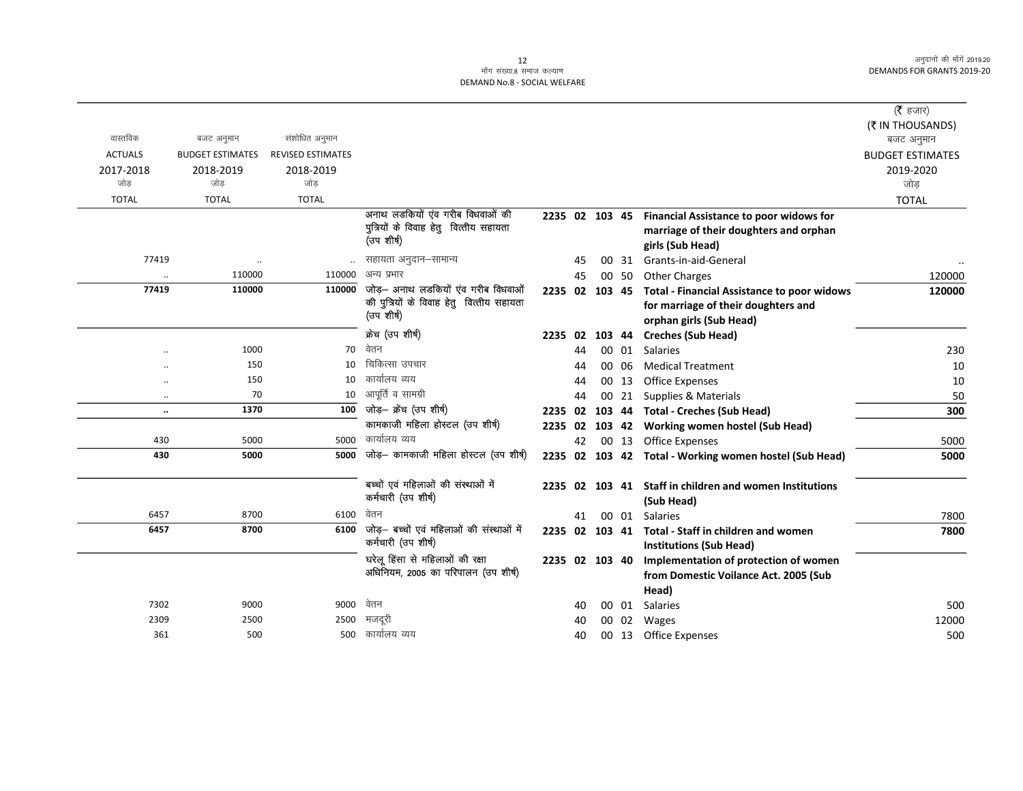## ्त<br>माँग संख्या.8 समाज कल्याण DEMAND No.8 - SOCIAL WELFARE

|                      |                         |                          |                                                                        |                |    |    |       |                                                         | (रै हजार)               |
|----------------------|-------------------------|--------------------------|------------------------------------------------------------------------|----------------|----|----|-------|---------------------------------------------------------|-------------------------|
|                      |                         |                          |                                                                        |                |    |    |       |                                                         | (₹ IN THOUSANDS)        |
| वास्तविक             | बजट अनुमान              | संशोधित अनुमान           |                                                                        |                |    |    |       |                                                         | बजट अनुमान              |
| <b>ACTUALS</b>       | <b>BUDGET ESTIMATES</b> | <b>REVISED ESTIMATES</b> |                                                                        |                |    |    |       |                                                         | <b>BUDGET ESTIMATES</b> |
| 2017-2018            | 2018-2019               | 2018-2019                |                                                                        |                |    |    |       |                                                         | 2019-2020               |
| जोड                  | जोड                     | जोड                      |                                                                        |                |    |    |       |                                                         | जोड                     |
| <b>TOTAL</b>         | <b>TOTAL</b>            | <b>TOTAL</b>             |                                                                        |                |    |    |       |                                                         | <b>TOTAL</b>            |
|                      |                         |                          | अनाथ लडकियों एंव गरीब विधवाओं की                                       |                |    |    |       | 2235 02 103 45 Financial Assistance to poor widows for  |                         |
|                      |                         |                          | पुत्रियों के विवाह हेतु वित्तीय सहायता<br>(उप शीर्ष)                   |                |    |    |       | marriage of their doughters and orphan                  |                         |
|                      |                         |                          |                                                                        |                |    |    |       | girls (Sub Head)                                        |                         |
| 77419                | $\ddot{\phantom{0}}$    |                          | सहायता अनुदान–सामान्य                                                  |                | 45 | 00 | 31    | Grants-in-aid-General                                   |                         |
| $\cdot$ .            | 110000                  | 110000                   | अन्य प्रभार                                                            |                | 45 |    | 00 50 | <b>Other Charges</b>                                    | 120000                  |
| 77419                | 110000                  |                          | $110000$ जोड़- अनाथ लडकियों एंव गरीब विधवाओं                           | 2235 02 103 45 |    |    |       | <b>Total - Financial Assistance to poor widows</b>      | 120000                  |
|                      |                         |                          | की पुत्रियों के विवाह हेतु वित्तीय सहायता<br>(उप शीर्ष)                |                |    |    |       | for marriage of their doughters and                     |                         |
|                      |                         |                          |                                                                        |                |    |    |       | orphan girls (Sub Head)                                 |                         |
|                      |                         |                          | क्रेच (उप शीर्ष)                                                       | 2235 02        |    |    |       | 103 44 Creches (Sub Head)                               |                         |
| $\ddot{\phantom{a}}$ | 1000                    | 70                       | वेतन                                                                   |                | 44 |    | 00 01 | <b>Salaries</b>                                         | 230                     |
|                      | 150                     | 10                       | चिकित्सा उपचार                                                         |                | 44 |    | 00 06 | <b>Medical Treatment</b>                                | 10                      |
|                      | 150                     | 10                       | कार्यालय व्यय                                                          |                | 44 |    | 00 13 | Office Expenses                                         | 10                      |
| $\ddotsc$            | 70                      | 10                       | आपूर्ति व सामग्री                                                      |                | 44 |    | 00 21 | Supplies & Materials                                    | 50                      |
| $\ddotsc$            | 1370                    | 100                      | जोड़- क्रेंच (उप शीर्ष)                                                | 2235 02        |    |    |       | 103 44 Total - Creches (Sub Head)                       | 300                     |
|                      |                         |                          | कामकाजी महिला होस्टल (उप शीर्ष)                                        |                |    |    |       | 2235 02 103 42 Working women hostel (Sub Head)          |                         |
| 430                  | 5000                    | 5000                     | कार्यालय व्यय                                                          |                | 42 |    | 00 13 | Office Expenses                                         | 5000                    |
| 430                  | 5000                    |                          | $\overline{5000}$ जोड़- कामकाजी महिला होस्टल (उप शीर्ष)                |                |    |    |       | 2235 02 103 42 Total - Working women hostel (Sub Head)  | 5000                    |
|                      |                         |                          |                                                                        |                |    |    |       |                                                         |                         |
|                      |                         |                          | बच्चों एवं महिलाओं की संस्थाओं में<br>कर्मचारी (उप शीर्ष)              |                |    |    |       | 2235 02 103 41 Staff in children and women Institutions |                         |
|                      |                         |                          |                                                                        |                |    |    |       | (Sub Head)                                              |                         |
| 6457                 | 8700                    | 6100                     | वेतन                                                                   |                | 41 |    | 00 01 | Salaries                                                | 7800                    |
| 6457                 | 8700                    | 6100                     | जोड़- बच्चों एवं महिलाओं की संस्थाओं में<br>कर्मचारी (उप शीर्ष)        | 2235 02 103 41 |    |    |       | Total - Staff in children and women                     | 7800                    |
|                      |                         |                          |                                                                        |                |    |    |       | <b>Institutions (Sub Head)</b>                          |                         |
|                      |                         |                          | घरेलू हिंसा से महिलाओं की रक्षा<br>अधिनियम, 2005 का परिपालन (उप शीर्ष) | 2235 02 103 40 |    |    |       | Implementation of protection of women                   |                         |
|                      |                         |                          |                                                                        |                |    |    |       | from Domestic Voilance Act. 2005 (Sub                   |                         |
|                      |                         |                          |                                                                        |                |    |    |       | Head)                                                   |                         |
| 7302                 | 9000                    | 9000                     | वेतन                                                                   |                | 40 |    | 00 01 | Salaries                                                | 500                     |
| 2309                 | 2500                    | 2500                     | मजदूरी                                                                 |                | 40 |    | 00 02 | Wages                                                   | 12000                   |
| 361                  | 500                     |                          | 500 कार्यालय व्यय                                                      |                | 40 |    | 00 13 | Office Expenses                                         | 500                     |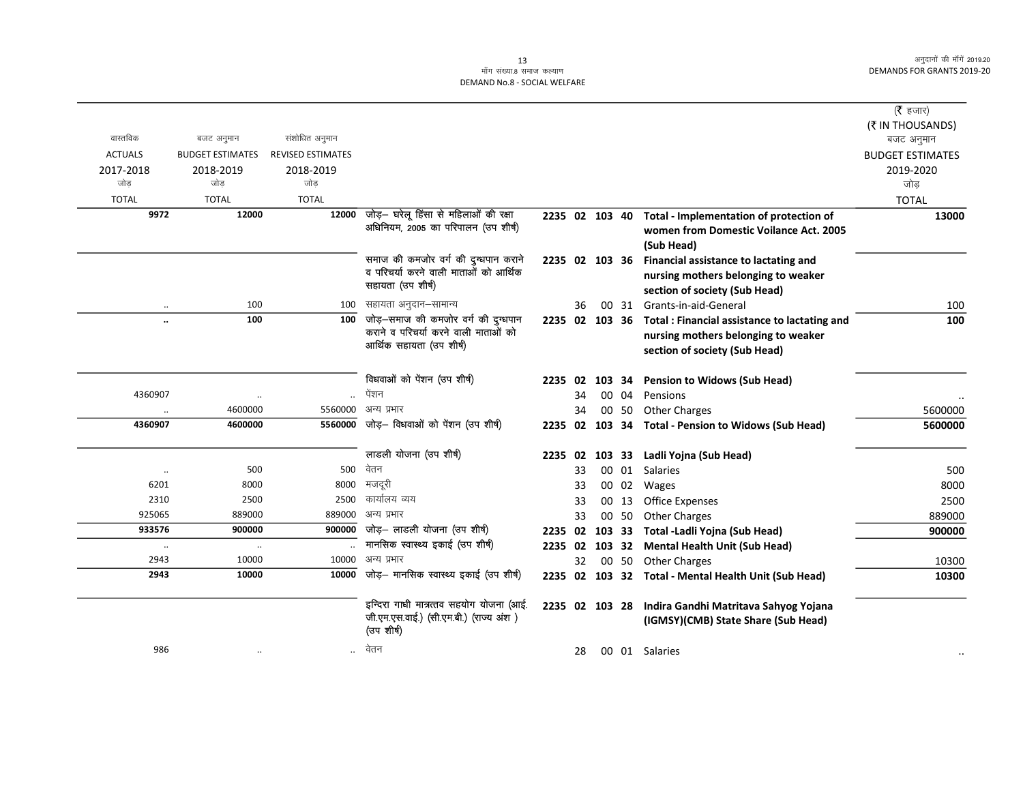|                      |                         |                   |                                                                               |         |    |                |       |                                                      | ( $\bar{\tau}$ हजार)    |
|----------------------|-------------------------|-------------------|-------------------------------------------------------------------------------|---------|----|----------------|-------|------------------------------------------------------|-------------------------|
|                      |                         |                   |                                                                               |         |    |                |       |                                                      | (₹ IN THOUSANDS)        |
| वास्तविक             | बजट अनुमान              | संशोधित अनुमान    |                                                                               |         |    |                |       |                                                      | बजट अनुमान              |
| <b>ACTUALS</b>       | <b>BUDGET ESTIMATES</b> | REVISED ESTIMATES |                                                                               |         |    |                |       |                                                      | <b>BUDGET ESTIMATES</b> |
| 2017-2018<br>जोड     | 2018-2019               | 2018-2019<br>जोड  |                                                                               |         |    |                |       |                                                      | 2019-2020               |
|                      | जोड                     |                   |                                                                               |         |    |                |       |                                                      | जोड                     |
| <b>TOTAL</b>         | <b>TOTAL</b>            | <b>TOTAL</b>      |                                                                               |         |    |                |       |                                                      | <b>TOTAL</b>            |
| 9972                 | 12000                   | 12000             | जोड़— घरेलू हिंसा से महिलाओं की रक्षा<br>अधिनियम, 2005 का परिपालन (उप शीर्ष)  |         |    | 2235 02 103 40 |       | Total - Implementation of protection of              | 13000                   |
|                      |                         |                   |                                                                               |         |    |                |       | women from Domestic Voilance Act. 2005               |                         |
|                      |                         |                   |                                                                               |         |    |                |       | (Sub Head)                                           |                         |
|                      |                         |                   | समाज की कमजोर वर्ग की दुग्धपान कराने<br>व परिचर्या करने वाली माताओं को आर्थिक |         |    | 2235 02 103 36 |       | Financial assistance to lactating and                |                         |
|                      |                         |                   | सहायता (उप शीर्ष)                                                             |         |    |                |       | nursing mothers belonging to weaker                  |                         |
|                      |                         |                   |                                                                               |         |    |                |       | section of society (Sub Head)                        |                         |
| $\ldots$             | 100                     | 100               | सहायता अनुदान–सामान्य                                                         |         | 36 |                | 00 31 | Grants-in-aid-General                                | 100                     |
| $\ddot{\phantom{0}}$ | 100                     | 100               | जोड़—समाज की कमजोर वर्ग की दुग्धपान<br>कराने व परिचर्या करने वाली माताओं को   |         |    | 2235 02 103 36 |       | Total: Financial assistance to lactating and         | 100                     |
|                      |                         |                   | आर्थिक सहायता (उप शीर्ष)                                                      |         |    |                |       | nursing mothers belonging to weaker                  |                         |
|                      |                         |                   |                                                                               |         |    |                |       | section of society (Sub Head)                        |                         |
|                      |                         |                   | विधवाओं को पेंशन (उप शीर्ष)                                                   |         |    | 2235 02 103 34 |       | <b>Pension to Widows (Sub Head)</b>                  |                         |
| 4360907              | $\ddotsc$               |                   | पेंशन                                                                         |         | 34 |                | 00 04 | Pensions                                             |                         |
|                      | 4600000                 | 5560000           | अन्य प्रभार                                                                   |         | 34 |                | 00 50 | <b>Other Charges</b>                                 | 5600000                 |
| 4360907              | 4600000                 | 5560000           | जोड़— विधवाओं को पेंशन (उप शीर्ष)                                             | 2235 02 |    |                |       | 103 34 Total - Pension to Widows (Sub Head)          | 5600000                 |
|                      |                         |                   |                                                                               |         |    |                |       |                                                      |                         |
|                      |                         |                   | लाडली योजना (उप शीर्ष)                                                        | 2235 02 |    | 103 33         |       | Ladli Yojna (Sub Head)                               |                         |
| $\ddotsc$            | 500                     | 500               | वेतन                                                                          |         | 33 |                | 00 01 | <b>Salaries</b>                                      | 500                     |
| 6201                 | 8000                    | 8000              | मजदूरी                                                                        |         | 33 |                | 00 02 | Wages                                                | 8000                    |
| 2310                 | 2500                    | 2500              | कार्यालय व्यय                                                                 |         | 33 |                | 00 13 | <b>Office Expenses</b>                               | 2500                    |
| 925065               | 889000                  | 889000            | अन्य प्रभार                                                                   |         | 33 |                | 00 50 | <b>Other Charges</b>                                 | 889000                  |
| 933576               | 900000                  | 900000            | जोड़- लाडली योजना (उप शीर्ष)                                                  | 2235 02 |    | 103 33         |       | Total -Ladli Yojna (Sub Head)                        | 900000                  |
| $\cdot\cdot$         | $\cdot\cdot$            |                   | मानसिक स्वास्थ्य इकाई (उप शीर्ष)                                              | 2235 02 |    |                |       | 103 32 Mental Health Unit (Sub Head)                 |                         |
| 2943                 | 10000                   | 10000             | अन्य प्रभार                                                                   |         | 32 |                | 00 50 | <b>Other Charges</b>                                 | 10300                   |
| 2943                 | 10000                   | 10000             | जोड़– मानसिक स्वास्थ्य इकाई (उप शीर्ष)                                        |         |    |                |       | 2235 02 103 32 Total - Mental Health Unit (Sub Head) | 10300                   |
|                      |                         |                   | इन्दिरा गाधी मात्रत्तव सहयोग योजना (आई.                                       |         |    | 2235 02 103 28 |       | Indira Gandhi Matritava Sahyog Yojana                |                         |
|                      |                         |                   | जी.एम.एस.वाई.) (सी.एम.बी.) (राज्य अंश)                                        |         |    |                |       | (IGMSY)(CMB) State Share (Sub Head)                  |                         |
|                      |                         |                   | (उपशीर्ष)                                                                     |         |    |                |       |                                                      |                         |
| 986                  | $\cdot\cdot$            | $\ddotsc$         | वेतन                                                                          |         | 28 |                |       | 00 01 Salaries                                       |                         |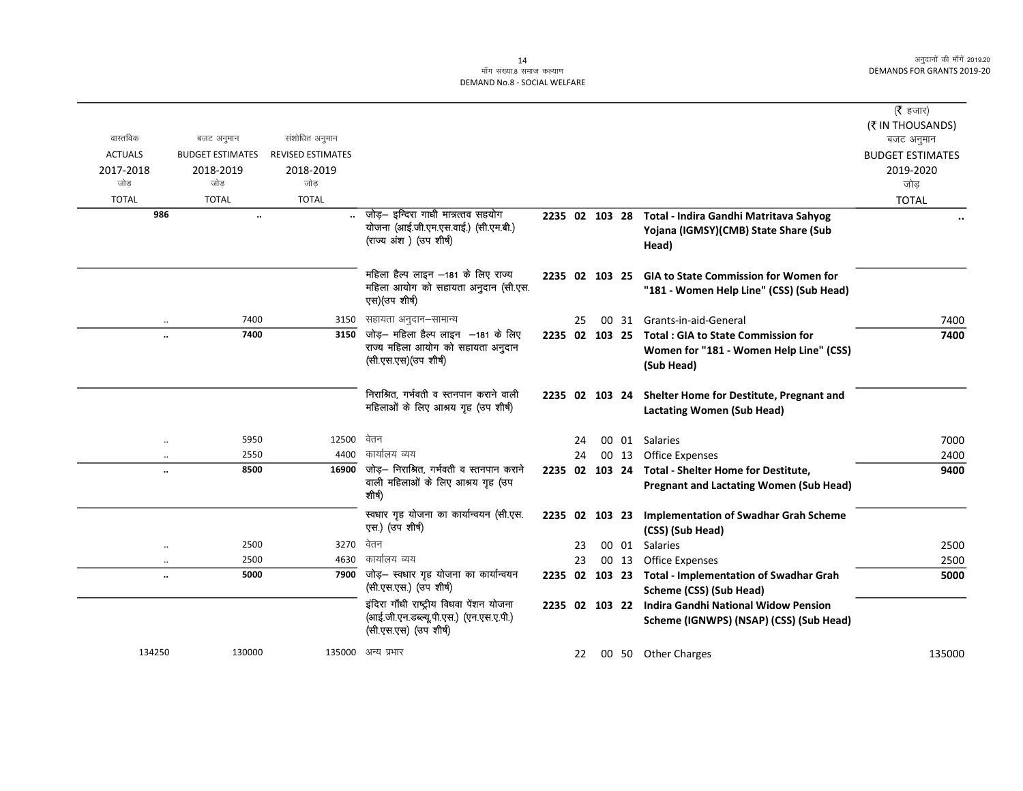### ्तः<br>माँग संख्या.8 समाज कल्याण DEMAND No.8 - SOCIAL WELFARE

|                      |                         |                          |                                                                                                              |                |    |       |                                                                                                | (रै हजार)<br>(₹ IN THOUSANDS) |
|----------------------|-------------------------|--------------------------|--------------------------------------------------------------------------------------------------------------|----------------|----|-------|------------------------------------------------------------------------------------------------|-------------------------------|
| वास्तविक             | बजट अनुमान              | संशोधित अनुमान           |                                                                                                              |                |    |       |                                                                                                | बजट अनुमान                    |
| <b>ACTUALS</b>       | <b>BUDGET ESTIMATES</b> | <b>REVISED ESTIMATES</b> |                                                                                                              |                |    |       |                                                                                                | <b>BUDGET ESTIMATES</b>       |
| 2017-2018            | 2018-2019               | 2018-2019                |                                                                                                              |                |    |       |                                                                                                | 2019-2020                     |
| जोड                  | जोड                     | जोड                      |                                                                                                              |                |    |       |                                                                                                | जोड                           |
| <b>TOTAL</b>         | <b>TOTAL</b>            | <b>TOTAL</b>             |                                                                                                              |                |    |       |                                                                                                | <b>TOTAL</b>                  |
| 986                  | $\ddotsc$               |                          | जोड़- इन्दिरा गाधी मात्रत्तव सहयोग<br>योजना (आई.जी.एम.एस.वाई.) (सी.एम.बी.)<br>(राज्य अंश) (उप शीर्ष)         | 2235 02 103 28 |    |       | Total - Indira Gandhi Matritava Sahyog<br>Yojana (IGMSY)(CMB) State Share (Sub<br>Head)        |                               |
|                      |                         |                          | महिला हैल्प लाइन —181 के लिए राज्य<br>महिला आयोग को सहायता अनुदान (सी.एस.<br>एस) (उप शीर्ष)                  | 2235 02 103 25 |    |       | <b>GIA to State Commission for Women for</b><br>"181 - Women Help Line" (CSS) (Sub Head)       |                               |
| $\ddotsc$            | 7400                    | 3150                     | सहायता अनुदान–सामान्य                                                                                        |                | 25 | 00 31 | Grants-in-aid-General                                                                          | 7400                          |
|                      | 7400                    |                          | $\overline{3150}$ जोड़- महिला हैल्प लाइन -181 के लिए                                                         | 2235 02 103 25 |    |       | <b>Total: GIA to State Commission for</b>                                                      | 7400                          |
|                      |                         |                          | राज्य महिला आयोग को सहायता अनुदान<br>(सी.एस.एस) (उप शीर्ष)                                                   |                |    |       | Women for "181 - Women Help Line" (CSS)<br>(Sub Head)                                          |                               |
|                      |                         |                          | निराश्रित. गर्भवती व स्तनपान कराने वाली<br>महिलाओं के लिए आश्रय गृह (उप शीर्ष)                               | 2235 02 103 24 |    |       | Shelter Home for Destitute, Pregnant and<br><b>Lactating Women (Sub Head)</b>                  |                               |
| $\ddotsc$            | 5950                    | 12500                    | वेतन                                                                                                         |                | 24 | 00 01 | Salaries                                                                                       | 7000                          |
| $\ddotsc$            | 2550                    | 4400                     | कार्यालय व्यय                                                                                                |                | 24 | 00 13 | <b>Office Expenses</b>                                                                         | 2400                          |
|                      | 8500                    |                          | $\overline{16900}$ जोड़- निराश्रित, गर्भवती व स्तनपान कराने                                                  | 2235 02 103 24 |    |       | Total - Shelter Home for Destitute,                                                            | 9400                          |
|                      |                         |                          | वाली महिलाओं के लिए आश्रय गृह (उप<br>शीर्ष)                                                                  |                |    |       | <b>Pregnant and Lactating Women (Sub Head)</b>                                                 |                               |
|                      |                         |                          | स्वधार गृह योजना का कार्यान्वयन (सी.एस.<br>एस.) (उप शीर्ष)                                                   | 2235 02 103 23 |    |       | <b>Implementation of Swadhar Grah Scheme</b><br>(CSS) (Sub Head)                               |                               |
| $\ddotsc$            | 2500                    | 3270                     | वेतन                                                                                                         |                | 23 |       | 00 01 Salaries                                                                                 | 2500                          |
| $\ddot{\phantom{a}}$ | 2500                    | 4630                     | कार्यालय व्यय                                                                                                |                | 23 |       | 00 13 Office Expenses                                                                          | 2500                          |
|                      | 5000                    | 7900                     | जोड़- स्वधार गृह योजना का कार्यान्वयन<br>(सी.एस.एस.) (उप शीर्ष)                                              |                |    |       | 2235 02 103 23 Total - Implementation of Swadhar Grah<br>Scheme (CSS) (Sub Head)               | 5000                          |
|                      |                         |                          | इंदिरा गाँधी राष्ट्रीय विधवा पेंशन योजना<br>(आई.जी.एन.डब्ल्यू.पी.एस.) (एन.एस.ए.पी.)<br>(सी.एस.एस) (उप शीर्ष) |                |    |       | 2235 02 103 22 Indira Gandhi National Widow Pension<br>Scheme (IGNWPS) (NSAP) (CSS) (Sub Head) |                               |
| 134250               | 130000                  |                          | 135000 अन्य प्रभार                                                                                           |                | 22 |       | 00 50 Other Charges                                                                            | 135000                        |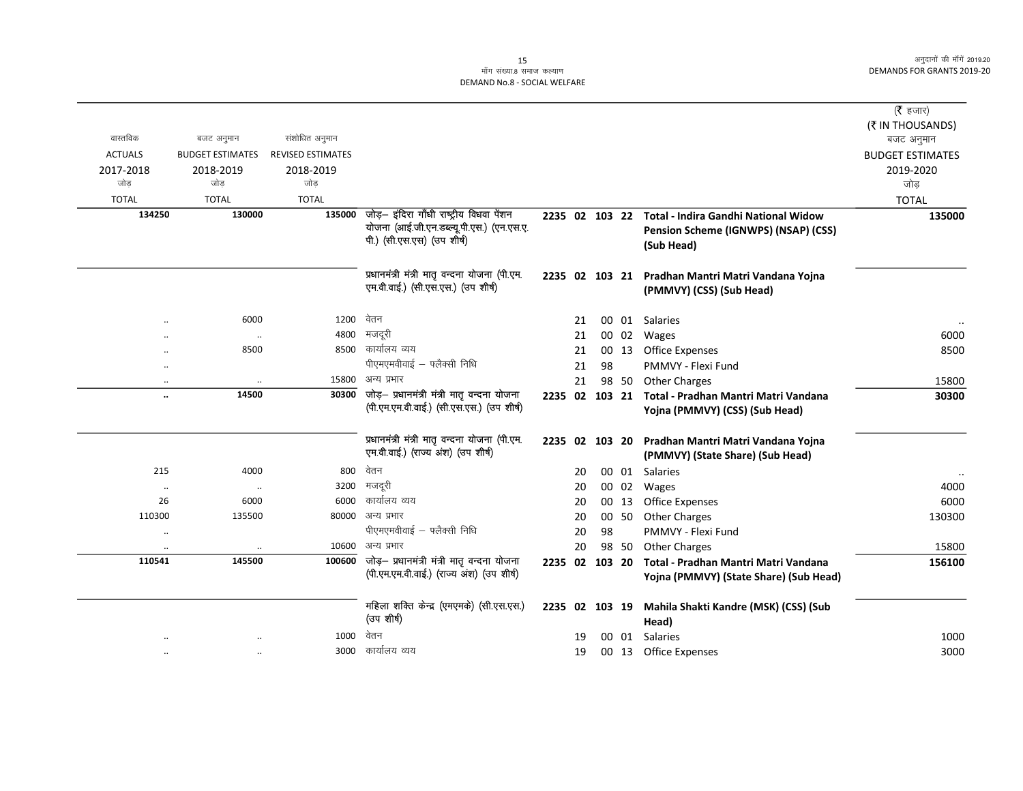|                |                         |                          |                                                                                       |                |    |        |       |                                                     | ( $\bar{\tau}$ हजार)    |
|----------------|-------------------------|--------------------------|---------------------------------------------------------------------------------------|----------------|----|--------|-------|-----------------------------------------------------|-------------------------|
|                |                         |                          |                                                                                       |                |    |        |       |                                                     | (₹ IN THOUSANDS)        |
| वास्तविक       | बजट अनुमान              | संशोधित अनुमान           |                                                                                       |                |    |        |       |                                                     | बजट अनुमान              |
| <b>ACTUALS</b> | <b>BUDGET ESTIMATES</b> | <b>REVISED ESTIMATES</b> |                                                                                       |                |    |        |       |                                                     | <b>BUDGET ESTIMATES</b> |
| 2017-2018      | 2018-2019               | 2018-2019                |                                                                                       |                |    |        |       |                                                     | 2019-2020               |
| जोड            | जोड                     | जोड                      |                                                                                       |                |    |        |       |                                                     | जोड                     |
| <b>TOTAL</b>   | <b>TOTAL</b>            | <b>TOTAL</b>             |                                                                                       |                |    |        |       |                                                     | <b>TOTAL</b>            |
| 134250         | 130000                  | 135000                   | जोड़- इंदिरा गाँधी राष्ट्रीय विधवा पेंशन<br>योजना (आई.जी.एन.डब्ल्यू.पी.एस.) (एन.एस.ए. |                |    |        |       | 2235 02 103 22 Total - Indira Gandhi National Widow | 135000                  |
|                |                         |                          | पी.) (सी.एस.एस) (उप शीर्ष)                                                            |                |    |        |       | Pension Scheme (IGNWPS) (NSAP) (CSS)<br>(Sub Head)  |                         |
|                |                         |                          |                                                                                       |                |    |        |       |                                                     |                         |
|                |                         |                          | प्रधानमंत्री मंत्री मातृ वन्दना योजना (पी.एम.                                         |                |    |        |       | 2235 02 103 21 Pradhan Mantri Matri Vandana Yojna   |                         |
|                |                         |                          | एम.वी.वाई.) (सी.एस.एस.) (उप शीर्ष)                                                    |                |    |        |       | (PMMVY) (CSS) (Sub Head)                            |                         |
|                |                         |                          |                                                                                       |                |    |        |       |                                                     |                         |
|                | 6000                    | 1200                     | वेतन                                                                                  |                | 21 |        |       | 00 01 Salaries                                      |                         |
|                | $\ddotsc$               | 4800                     | मजदूरी                                                                                |                | 21 |        | 00 02 | Wages                                               | 6000                    |
|                | 8500                    |                          | 8500 कार्यालय व्यय                                                                    |                | 21 |        | 00 13 | Office Expenses                                     | 8500                    |
|                |                         |                          | पीएमएमवीवाई - फ्लैक्सी निधि                                                           |                | 21 | 98     |       | PMMVY - Flexi Fund                                  |                         |
|                |                         | 15800                    | अन्य प्रभार                                                                           |                | 21 |        | 98 50 | <b>Other Charges</b>                                | 15800                   |
|                | 14500                   | 30300                    | जोड़- प्रधानमंत्री मंत्री मातृ वन्दना योजना                                           | 2235 02        |    | 103 21 |       | Total - Pradhan Mantri Matri Vandana                | 30300                   |
|                |                         |                          | (पी.एम.एम.वी.वाई.) (सी.एस.एस.) (उप शीर्ष)                                             |                |    |        |       | Yojna (PMMVY) (CSS) (Sub Head)                      |                         |
|                |                         |                          | प्रधानमंत्री मंत्री मातृ वन्दना योजना (पी.एम.                                         | 2235 02 103 20 |    |        |       | Pradhan Mantri Matri Vandana Yojna                  |                         |
|                |                         |                          | एम.वी.वाई.) (राज्य अंश) (उप शीर्ष)                                                    |                |    |        |       | (PMMVY) (State Share) (Sub Head)                    |                         |
| 215            | 4000                    | 800                      | वेतन                                                                                  |                | 20 |        |       | 00 01 Salaries                                      |                         |
| $\cdot\cdot$   | $\ldots$                | 3200                     | मजदूरी                                                                                |                | 20 |        |       | 00 02 Wages                                         | 4000                    |
| 26             | 6000                    | 6000                     | कार्यालय व्यय                                                                         |                | 20 |        | 00 13 | <b>Office Expenses</b>                              | 6000                    |
| 110300         | 135500                  | 80000                    | अन्य प्रभार                                                                           |                | 20 |        | 00 50 | <b>Other Charges</b>                                | 130300                  |
| $\cdot\cdot$   |                         |                          | पीएमएमवीवाई - फ्लैक्सी निधि                                                           |                | 20 | 98     |       | PMMVY - Flexi Fund                                  |                         |
| $\cdot\cdot$   |                         | 10600                    | अन्य प्रभार                                                                           |                | 20 |        | 98 50 | <b>Other Charges</b>                                | 15800                   |
| 110541         | 145500                  | 100600                   | जोड़- प्रधानमंत्री मंत्री मातृ वन्दना योजना                                           | 2235 02 103 20 |    |        |       | Total - Pradhan Mantri Matri Vandana                | 156100                  |
|                |                         |                          | (पी.एम.एम.वी.वाई.) (राज्य अंश) (उप शीर्ष)                                             |                |    |        |       | Yojna (PMMVY) (State Share) (Sub Head)              |                         |
|                |                         |                          |                                                                                       |                |    |        |       |                                                     |                         |
|                |                         |                          | महिला शक्ति केन्द्र (एमएमके) (सी.एस.एस.)                                              | 2235 02 103 19 |    |        |       | Mahila Shakti Kandre (MSK) (CSS) (Sub               |                         |
|                |                         |                          | (उप शीर्ष)                                                                            |                |    |        |       | Head)                                               |                         |
|                |                         | 1000                     | वेतन                                                                                  |                | 19 |        | 00 01 | Salaries                                            | 1000                    |
|                |                         |                          | 3000 कार्यालय व्यय                                                                    |                | 19 |        |       | 00 13 Office Expenses                               | 3000                    |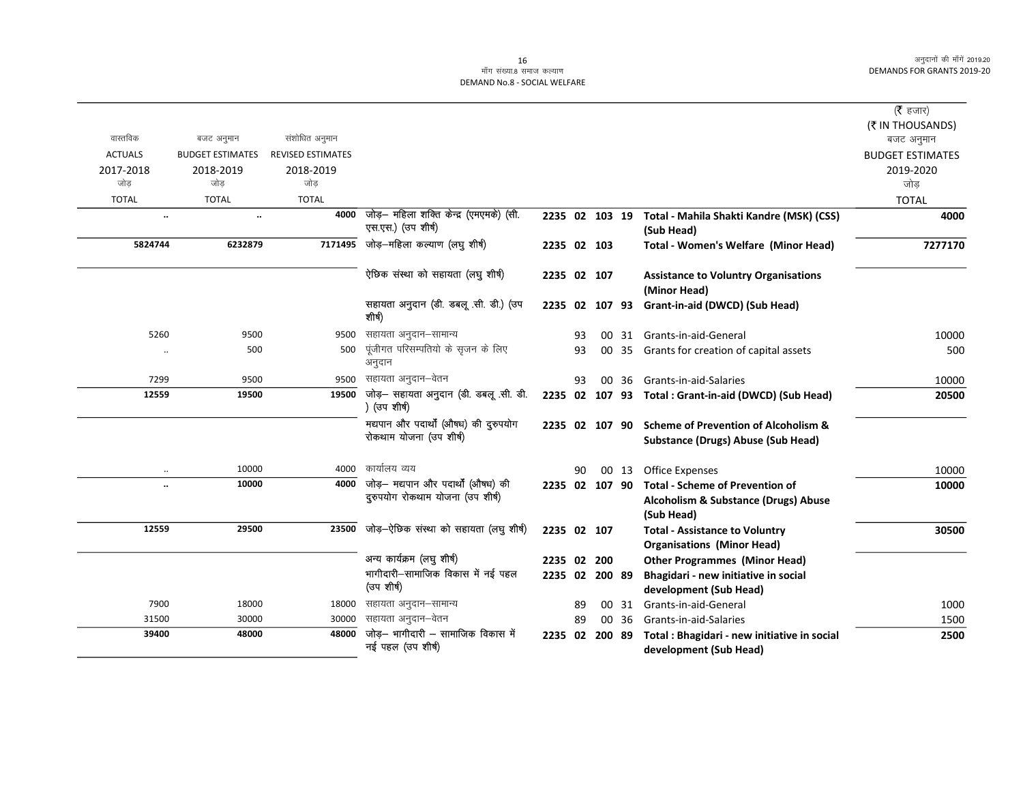#### 16 ...<br>माँग संख्या.8 समाज कल्याण DEMAND No.8 - SOCIAL WELFARE

|                      |                         |                          |                                                               |                |    |        |       |                                                        | ( <b>रै</b> हजार)       |
|----------------------|-------------------------|--------------------------|---------------------------------------------------------------|----------------|----|--------|-------|--------------------------------------------------------|-------------------------|
|                      |                         |                          |                                                               |                |    |        |       |                                                        | (₹ IN THOUSANDS)        |
| वास्तविक             | बजट अनुमान              | संशोधित अनुमान           |                                                               |                |    |        |       |                                                        | बजट अनुमान              |
| <b>ACTUALS</b>       | <b>BUDGET ESTIMATES</b> | <b>REVISED ESTIMATES</b> |                                                               |                |    |        |       |                                                        | <b>BUDGET ESTIMATES</b> |
| 2017-2018<br>जोड     | 2018-2019<br>जोड        | 2018-2019<br>जोड         |                                                               |                |    |        |       |                                                        | 2019-2020               |
|                      |                         |                          |                                                               |                |    |        |       |                                                        | जोड़                    |
| <b>TOTAL</b>         | <b>TOTAL</b>            | <b>TOTAL</b>             |                                                               |                |    |        |       |                                                        | <b>TOTAL</b>            |
| $\ddot{\phantom{0}}$ | $\ldots$                | 4000                     | जोड़— महिला शक्ति केन्द्र (एमएमके) (सी.<br>एस.एस.) (उप शीर्ष) | 2235 02 103 19 |    |        |       | Total - Mahila Shakti Kandre (MSK) (CSS)<br>(Sub Head) | 4000                    |
| 5824744              | 6232879                 | 7171495                  | जोड़—महिला कल्याण (लघु शीर्ष)                                 | 2235 02 103    |    |        |       | Total - Women's Welfare (Minor Head)                   | 7277170                 |
|                      |                         |                          | ऐछिक संस्था को सहायता (लघु शीर्ष)                             | 2235 02 107    |    |        |       | <b>Assistance to Voluntry Organisations</b>            |                         |
|                      |                         |                          |                                                               |                |    |        |       | (Minor Head)                                           |                         |
|                      |                         |                          | सहायता अनुदान (डी. डबलू .सी. डी.) (उप<br>शीर्ष)               | 2235 02 107 93 |    |        |       | Grant-in-aid (DWCD) (Sub Head)                         |                         |
| 5260                 | 9500                    | 9500                     | सहायता अनुदान–सामान्य                                         |                | 93 |        |       | 00 31 Grants-in-aid-General                            | 10000                   |
|                      | 500                     | 500                      | पूंजीगत परिसम्पतियो के सृजन के लिए<br>अनुदान                  |                | 93 |        | 00 35 | Grants for creation of capital assets                  | 500                     |
| 7299                 | 9500                    | 9500                     | सहायता अनुदान–वेतन                                            |                | 93 |        |       | 00 36 Grants-in-aid-Salaries                           | 10000                   |
| 12559                | 19500                   | 19500                    | जोड़- सहायता अनुदान (डी. डबलू .सी. डी.<br>) (उप शीर्ष)        |                |    |        |       | 2235 02 107 93 Total : Grant-in-aid (DWCD) (Sub Head)  | 20500                   |
|                      |                         |                          | मद्यपान और पदार्थों (औषध) की दुरुपयोग                         |                |    |        |       | 2235 02 107 90 Scheme of Prevention of Alcoholism &    |                         |
|                      |                         |                          | रोकथाम योजना (उप शीर्ष)                                       |                |    |        |       | Substance (Drugs) Abuse (Sub Head)                     |                         |
|                      | 10000                   | 4000                     | कार्यालय व्यय                                                 |                | 90 |        |       | 00 13 Office Expenses                                  | 10000                   |
| $\ddot{\phantom{a}}$ | 10000                   | 4000                     | जोड़— मद्यपान और पदार्थों (औषध) की                            | 2235 02 107 90 |    |        |       | <b>Total - Scheme of Prevention of</b>                 | 10000                   |
|                      |                         |                          | दुरुपयोग रोकथाम योजना (उप शीर्ष)                              |                |    |        |       | Alcoholism & Substance (Drugs) Abuse                   |                         |
|                      |                         |                          |                                                               |                |    |        |       | (Sub Head)                                             |                         |
| 12559                | 29500                   | 23500                    | जोड़-ऐछिक संस्था को सहायता (लघु शीर्ष)                        | 2235 02 107    |    |        |       | <b>Total - Assistance to Voluntry</b>                  | 30500                   |
|                      |                         |                          |                                                               |                |    |        |       | <b>Organisations (Minor Head)</b>                      |                         |
|                      |                         |                          | अन्य कार्यक्रम (लघु शीर्ष)                                    | 2235 02 200    |    |        |       | <b>Other Programmes (Minor Head)</b>                   |                         |
|                      |                         |                          | भागीदारी-सामाजिक विकास में नई पहल                             | 2235 02 200 89 |    |        |       | Bhagidari - new initiative in social                   |                         |
|                      |                         |                          | (उप शीर्ष)                                                    |                |    |        |       | development (Sub Head)                                 |                         |
| 7900                 | 18000                   | 18000                    | सहायता अनुदान–सामान्य                                         |                | 89 |        | 00 31 | Grants-in-aid-General                                  | 1000                    |
| 31500                | 30000                   | 30000                    | सहायता अनुदान–वेतन                                            |                | 89 |        | 00 36 | Grants-in-aid-Salaries                                 | 1500                    |
| 39400                | 48000                   | 48000                    | जोड़- भागीदारी - सामाजिक विकास में<br>नई पहल (उप शीर्ष)       | 2235 02        |    | 200 89 |       | Total : Bhagidari - new initiative in social           | 2500                    |
|                      |                         |                          |                                                               |                |    |        |       | development (Sub Head)                                 |                         |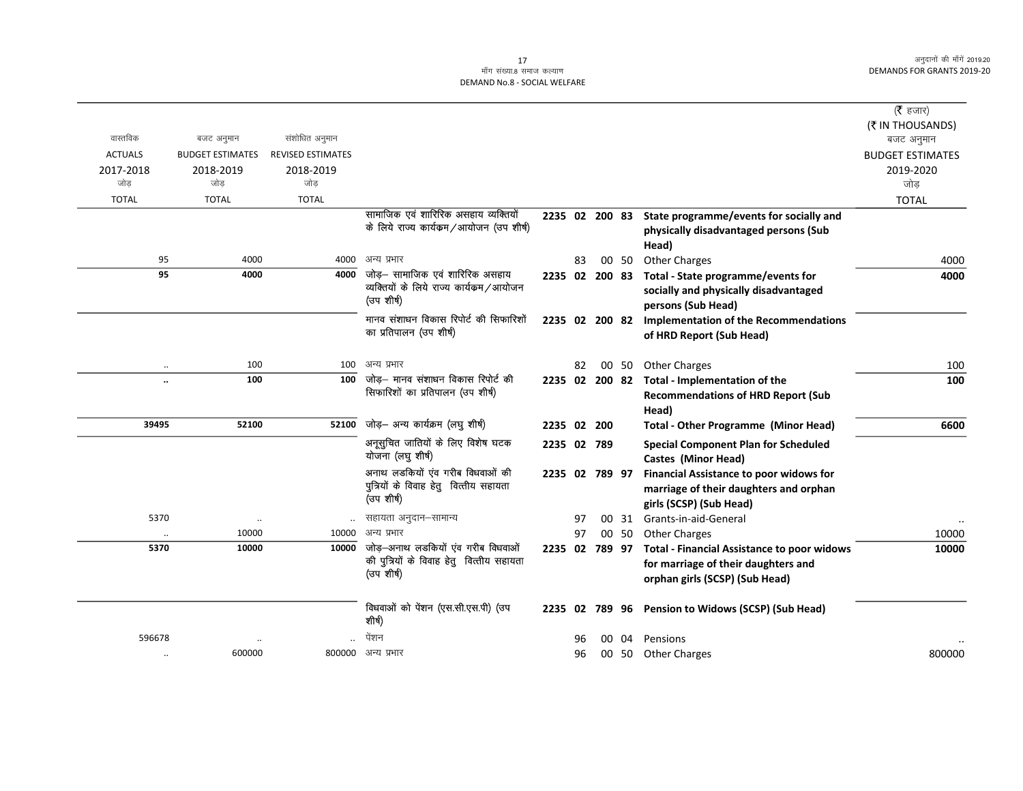## ्र<br>माँग संख्या.8 समाज कल्याण DEMAND No.8 - SOCIAL WELFARE

| वास्तविक<br>संशोधित अनुमान<br>बजट अनुमान<br><b>ACTUALS</b><br><b>BUDGET ESTIMATES</b><br><b>REVISED ESTIMATES</b><br>2017-2018<br>2018-2019<br>2018-2019<br>जोड<br>जोड<br>जोड<br><b>TOTAL</b><br><b>TOTAL</b><br><b>TOTAL</b> | बजट अनुमान<br><b>BUDGET ESTIMATES</b><br>2019-2020<br>जोड<br><b>TOTAL</b><br>2235 02 200 83 State programme/events for socially and<br>physically disadvantaged persons (Sub<br>Head) |
|-------------------------------------------------------------------------------------------------------------------------------------------------------------------------------------------------------------------------------|---------------------------------------------------------------------------------------------------------------------------------------------------------------------------------------|
|                                                                                                                                                                                                                               |                                                                                                                                                                                       |
|                                                                                                                                                                                                                               |                                                                                                                                                                                       |
|                                                                                                                                                                                                                               |                                                                                                                                                                                       |
|                                                                                                                                                                                                                               |                                                                                                                                                                                       |
| सामाजिक एवं शारिरिक असहाय व्यक्तियों<br>के लिये राज्य कार्यक्रम/आयोजन (उप शीर्ष)                                                                                                                                              |                                                                                                                                                                                       |
| 95<br>4000<br>4000<br>अन्य प्रभार                                                                                                                                                                                             | 00 50<br><b>Other Charges</b><br>83<br>4000                                                                                                                                           |
| जोड़— सामाजिक एवं शारिरिक असहाय<br>95<br>4000<br>4000<br>व्यक्तियों के लिये राज्य कार्यकम/आयोजन<br>(उप शीर्ष)                                                                                                                 | 2235 02 200 83 Total - State programme/events for<br>4000<br>socially and physically disadvantaged<br>persons (Sub Head)                                                              |
| मानव संशाधन विकास रिपोर्ट की सिफारिशों<br>का प्रतिपालन (उप शीर्ष)                                                                                                                                                             | 2235 02 200 82 Implementation of the Recommendations<br>of HRD Report (Sub Head)                                                                                                      |
| अन्य प्रभार<br>100<br>100<br>$\ddotsc$                                                                                                                                                                                        | <b>Other Charges</b><br>82<br>00 50<br>100                                                                                                                                            |
| जोड़– मानव संशाधन विकास रिपोर्ट की<br>100<br>100<br><br>सिफारिशों का प्रतिपालन (उप शीर्ष)                                                                                                                                     | 2235 02 200 82 Total - Implementation of the<br>100<br><b>Recommendations of HRD Report (Sub</b><br>Head)                                                                             |
| जोड़- अन्य कार्यक्रम (लघु शीर्ष)<br>39495<br>52100<br>52100                                                                                                                                                                   | 2235 02 200<br><b>Total - Other Programme (Minor Head)</b><br>6600                                                                                                                    |
| अनूसुचित जातियों के लिए विशेष घटक<br>योजना (लघु शीर्ष)                                                                                                                                                                        | 2235 02 789<br><b>Special Component Plan for Scheduled</b><br>Castes (Minor Head)                                                                                                     |
| अनाथ लडकियों एव गरीब विधवाओं की<br>पुत्रियों के विवाह हेतु वित्तीय सहायता<br>(उप शीर्ष)                                                                                                                                       | 2235 02 789 97<br><b>Financial Assistance to poor widows for</b><br>marriage of their daughters and orphan<br>girls (SCSP) (Sub Head)                                                 |
| 5370<br>सहायता अनुदान–सामान्य<br>$\ddot{\phantom{0}}$                                                                                                                                                                         | Grants-in-aid-General<br>00 31<br>97                                                                                                                                                  |
| अन्य प्रभार<br>10000<br>10000<br>$\cdot \cdot$                                                                                                                                                                                | 00 50<br><b>Other Charges</b><br>10000<br>97                                                                                                                                          |
| जोड़—अनाथ लडकियों एव गरीब विधवाओं<br>5370<br>10000<br>10000<br>की पुत्रियों के विवाह हेतु वित्तीय सहायता<br>(उप शीर्ष)                                                                                                        | 2235 02 789 97<br><b>Total - Financial Assistance to poor widows</b><br>10000<br>for marriage of their daughters and<br>orphan girls (SCSP) (Sub Head)                                |
| विधवाओं को पेंशन (एस.सी.एस.पी) (उप<br>शीर्ष)                                                                                                                                                                                  | 2235 02 789 96 Pension to Widows (SCSP) (Sub Head)                                                                                                                                    |
| पेंशन<br>596678                                                                                                                                                                                                               | 00 04 Pensions<br>96                                                                                                                                                                  |
| 600000<br>800000 अन्य प्रभार<br>                                                                                                                                                                                              | 800000<br>00 50 Other Charges<br>96                                                                                                                                                   |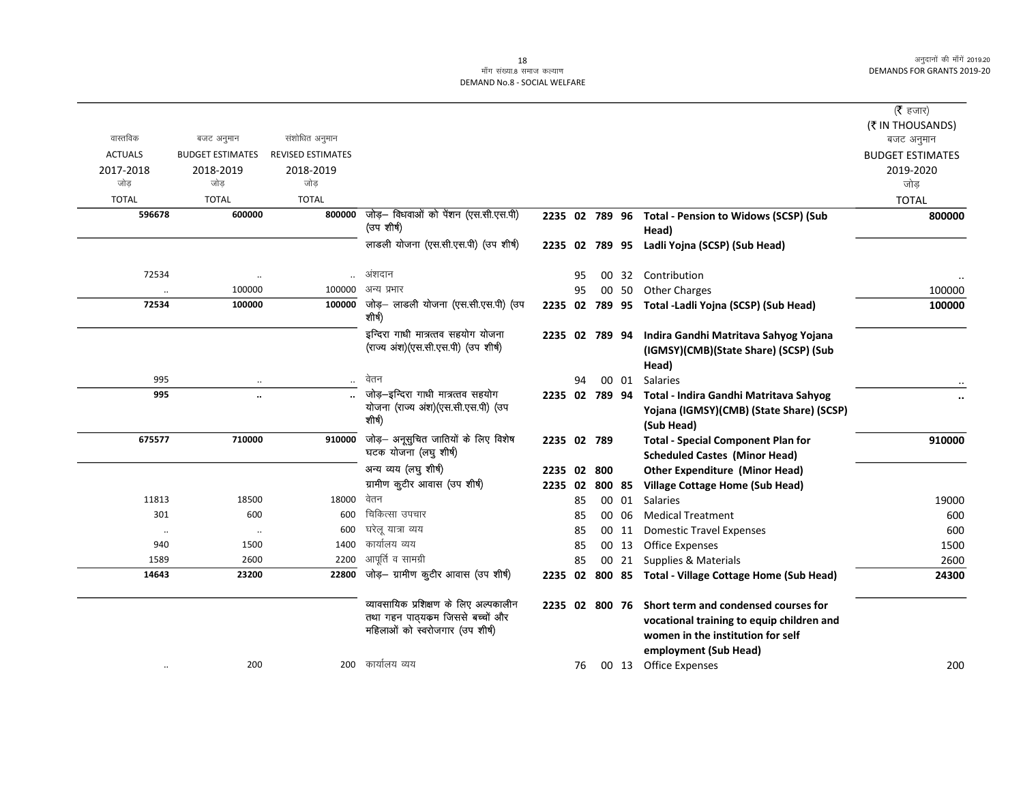#### ्च<br>माँग संख्या.8 समाज कल्याण DEMAND No.8 - SOCIAL WELFARE

|                      |                         |                          |                                                                                                               |                |    |        |       |                                                                                                                                                                | ( <b>रै</b> हजार)       |
|----------------------|-------------------------|--------------------------|---------------------------------------------------------------------------------------------------------------|----------------|----|--------|-------|----------------------------------------------------------------------------------------------------------------------------------------------------------------|-------------------------|
|                      |                         |                          |                                                                                                               |                |    |        |       |                                                                                                                                                                | (₹ IN THOUSANDS)        |
| वास्तविक             | बजट अनुमान              | संशोधित अनुमान           |                                                                                                               |                |    |        |       |                                                                                                                                                                | बजट अनुमान              |
| <b>ACTUALS</b>       | <b>BUDGET ESTIMATES</b> | <b>REVISED ESTIMATES</b> |                                                                                                               |                |    |        |       |                                                                                                                                                                | <b>BUDGET ESTIMATES</b> |
| 2017-2018            | 2018-2019               | 2018-2019                |                                                                                                               |                |    |        |       |                                                                                                                                                                | 2019-2020               |
| जोड                  | जोड                     | जोड                      |                                                                                                               |                |    |        |       |                                                                                                                                                                | जोड                     |
| <b>TOTAL</b>         | <b>TOTAL</b>            | <b>TOTAL</b>             |                                                                                                               |                |    |        |       |                                                                                                                                                                | <b>TOTAL</b>            |
| 596678               | 600000                  | 800000                   | जोड़- विधवाओं को पेंशन (एस.सी.एस.पी)<br>(उप शीर्ष)                                                            |                |    |        |       | 2235 02 789 96 Total - Pension to Widows (SCSP) (Sub<br>Head)                                                                                                  | 800000                  |
|                      |                         |                          | लाडली योजना (एस.सी.एस.पी) (उप शीर्ष)                                                                          |                |    |        |       | 2235 02 789 95 Ladli Yojna (SCSP) (Sub Head)                                                                                                                   |                         |
| 72534                | $\ddot{\phantom{0}}$    |                          | अंशदान                                                                                                        |                | 95 |        |       | 00 32 Contribution                                                                                                                                             |                         |
| $\ddot{\phantom{0}}$ | 100000                  | 100000                   | अन्य प्रभार                                                                                                   |                | 95 |        | 00 50 | <b>Other Charges</b>                                                                                                                                           | 100000                  |
| 72534                | 100000                  | 100000                   | जोड़– लाडली योजना (एस.सी.एस.पी) (उप<br>शीर्ष)                                                                 |                |    |        |       | 2235 02 789 95 Total - Ladli Yojna (SCSP) (Sub Head)                                                                                                           | 100000                  |
|                      |                         |                          | इन्दिरा गाधी मात्रत्तव सहयोग योजना<br>(राज्य अंश)(एस.सी.एस.पी) (उप शीर्ष)                                     | 2235 02 789 94 |    |        |       | Indira Gandhi Matritava Sahyog Yojana<br>(IGMSY)(CMB)(State Share) (SCSP) (Sub<br>Head)                                                                        |                         |
| 995                  |                         | $\ddot{\phantom{a}}$     | वेतन                                                                                                          |                | 94 |        | 00 01 | Salaries                                                                                                                                                       |                         |
| 995                  |                         |                          | जोड़-इन्दिरा गाधी मात्रत्तव सहयोग<br>योजना (राज्य अंश)(एस.सी.एस.पी) (उप<br>शीर्ष)                             |                |    |        |       | 2235 02 789 94 Total - Indira Gandhi Matritava Sahyog<br>Yojana (IGMSY)(CMB) (State Share) (SCSP)<br>(Sub Head)                                                |                         |
| 675577               | 710000                  | 910000                   | जोड़— अनूसुचित जातियों के लिए विशेष<br>घटक योजना (लघु शीर्ष)                                                  | 2235 02 789    |    |        |       | <b>Total - Special Component Plan for</b><br><b>Scheduled Castes (Minor Head)</b>                                                                              | 910000                  |
|                      |                         |                          | अन्य व्यय (लघु शीर्ष)                                                                                         | 2235 02 800    |    |        |       | <b>Other Expenditure (Minor Head)</b>                                                                                                                          |                         |
|                      |                         |                          | ग्रामीण कुटीर आवास (उप शीर्ष)                                                                                 | 2235 02        |    | 800 85 |       | <b>Village Cottage Home (Sub Head)</b>                                                                                                                         |                         |
| 11813                | 18500                   | 18000                    | वेतन                                                                                                          |                | 85 |        | 00 01 | <b>Salaries</b>                                                                                                                                                | 19000                   |
| 301                  | 600                     | 600                      | चिकित्सा उपचार                                                                                                |                | 85 |        | 00 06 | <b>Medical Treatment</b>                                                                                                                                       | 600                     |
| $\ldots$             | $\ddot{\phantom{a}}$    | 600                      | घरेलू यात्रा व्यय                                                                                             |                | 85 |        | 00 11 | <b>Domestic Travel Expenses</b>                                                                                                                                | 600                     |
| 940                  | 1500                    | 1400                     | कार्यालय व्यय                                                                                                 |                | 85 |        |       | 00 13 Office Expenses                                                                                                                                          | 1500                    |
| 1589                 | 2600                    | 2200                     | आपूर्ति व सामग्री                                                                                             |                | 85 |        |       | 00 21 Supplies & Materials                                                                                                                                     | 2600                    |
| 14643                | 23200                   | 22800                    | जोड़- ग्रामीण कुटीर आवास (उप शीर्ष)                                                                           |                |    |        |       | 2235 02 800 85 Total - Village Cottage Home (Sub Head)                                                                                                         | 24300                   |
|                      |                         |                          | व्यावसायिक प्रशिक्षण के लिए अल्पकालीन<br>तथा गहन पाठ्यक्रम जिससे बच्चों और<br>महिलाओं को स्वरोजगार (उप शीर्ष) |                |    |        |       | 2235 02 800 76 Short term and condensed courses for<br>vocational training to equip children and<br>women in the institution for self<br>employment (Sub Head) |                         |
|                      | 200                     |                          | 200 कार्यालय व्यय                                                                                             |                | 76 |        |       | 00 13 Office Expenses                                                                                                                                          | 200                     |
|                      |                         |                          |                                                                                                               |                |    |        |       |                                                                                                                                                                |                         |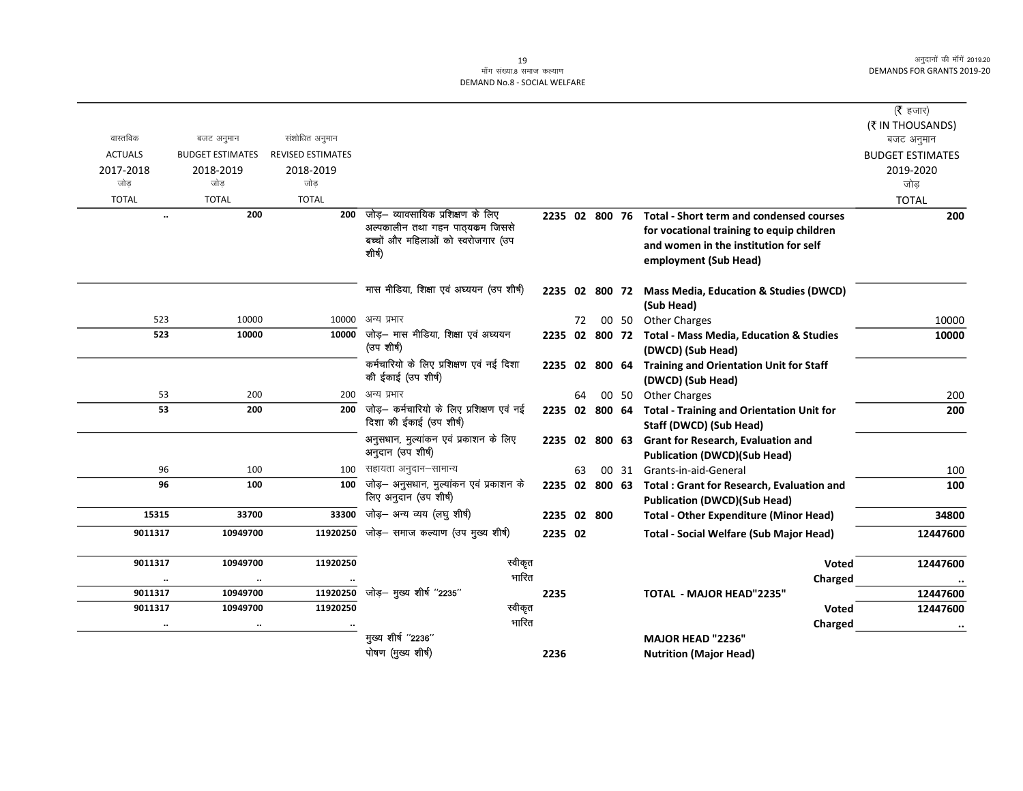### ्र<br>माँग संख्या.8 समाज कल्याण DEMAND No.8 - SOCIAL WELFARE

|                |                         |                          |                                                                     |         |    |                |       |                                                                             | (रै हजार)               |
|----------------|-------------------------|--------------------------|---------------------------------------------------------------------|---------|----|----------------|-------|-----------------------------------------------------------------------------|-------------------------|
|                |                         |                          |                                                                     |         |    |                |       |                                                                             | (₹ IN THOUSANDS)        |
| वास्तविक       | बजट अनुमान              | संशोधित अनुमान           |                                                                     |         |    |                |       |                                                                             | बजट अनुमान              |
| <b>ACTUALS</b> | <b>BUDGET ESTIMATES</b> | <b>REVISED ESTIMATES</b> |                                                                     |         |    |                |       |                                                                             | <b>BUDGET ESTIMATES</b> |
| 2017-2018      | 2018-2019               | 2018-2019                |                                                                     |         |    |                |       |                                                                             | 2019-2020               |
| जोड            | जोड                     | जोड                      |                                                                     |         |    |                |       |                                                                             | जोड                     |
| <b>TOTAL</b>   | <b>TOTAL</b>            | <b>TOTAL</b>             |                                                                     |         |    |                |       |                                                                             | <b>TOTAL</b>            |
|                | 200<br>$\ddotsc$        | 200                      | जोड़— व्यावसायिक प्रशिक्षण के लिए                                   |         |    | 2235 02 800 76 |       | <b>Total - Short term and condensed courses</b>                             | 200                     |
|                |                         |                          | अल्पकालीन तथा गहन पाठ्यक्रम जिससे                                   |         |    |                |       | for vocational training to equip children                                   |                         |
|                |                         |                          | बच्चों और महिलाओं को स्वरोजगार (उप                                  |         |    |                |       | and women in the institution for self                                       |                         |
|                |                         |                          | शीर्ष)                                                              |         |    |                |       | employment (Sub Head)                                                       |                         |
|                |                         |                          | मास मीडिया, शिक्षा एवं अघ्ययन (उप शीर्ष)                            |         |    |                |       |                                                                             |                         |
|                |                         |                          |                                                                     |         |    | 2235 02 800 72 |       | <b>Mass Media, Education &amp; Studies (DWCD)</b>                           |                         |
| 523            | 10000                   | 10000                    | अन्य प्रभार                                                         |         | 72 |                | 00 50 | (Sub Head)<br><b>Other Charges</b>                                          | 10000                   |
| 523            | 10000                   | 10000                    | जोड़- मास मीडिया, शिक्षा एवं अघ्ययन                                 |         |    | 2235 02 800 72 |       | <b>Total - Mass Media, Education &amp; Studies</b>                          | 10000                   |
|                |                         |                          | (उप शीर्ष)                                                          |         |    |                |       | (DWCD) (Sub Head)                                                           |                         |
|                |                         |                          | कर्मचारियो के लिए प्रशिक्षण एवं नई दिशा                             |         |    | 2235 02 800 64 |       | <b>Training and Orientation Unit for Staff</b>                              |                         |
|                |                         |                          | की ईकाई (उप शीर्ष)                                                  |         |    |                |       | (DWCD) (Sub Head)                                                           |                         |
|                | 53<br>200               | 200                      | अन्य प्रभार                                                         |         | 64 |                | 00 50 | <b>Other Charges</b>                                                        | 200                     |
|                | 53<br>200               | 200                      | जोड़- कर्मचारियो के लिए प्रशिक्षण एवं नई<br>दिशा की ईकाई (उप शीर्ष) |         |    | 2235 02 800 64 |       | <b>Total - Training and Orientation Unit for</b><br>Staff (DWCD) (Sub Head) | 200                     |
|                |                         |                          | अनुसधान, मुल्यांकन एवं प्रकाशन के लिए                               |         |    | 2235 02 800 63 |       | Grant for Research, Evaluation and                                          |                         |
|                |                         |                          | अनुदान (उप शीर्ष)                                                   |         |    |                |       | <b>Publication (DWCD)(Sub Head)</b>                                         |                         |
|                | 96<br>100               | 100                      | सहायता अनुदान–सामान्य                                               |         | 63 |                |       | 00 31 Grants-in-aid-General                                                 | 100                     |
|                | 96<br>100               | 100                      | जोड़- अनुसधान, मुल्यांकन एवं प्रकाशन के                             |         |    | 2235 02 800 63 |       | <b>Total: Grant for Research, Evaluation and</b>                            | 100                     |
|                |                         |                          | लिए अनुदान (उप शीर्ष)                                               |         |    |                |       | <b>Publication (DWCD)(Sub Head)</b>                                         |                         |
| 15315          | 33700                   | 33300                    | जोड़- अन्य व्यय (लघु शीर्ष)                                         |         |    | 2235 02 800    |       | <b>Total - Other Expenditure (Minor Head)</b>                               | 34800                   |
| 9011317        | 10949700                | 11920250                 | जोड़— समाज कल्याण (उप मुख्य शीर्ष)                                  | 2235 02 |    |                |       | <b>Total - Social Welfare (Sub Major Head)</b>                              | 12447600                |
| 9011317        | 10949700                | 11920250                 | स्वीकृत                                                             |         |    |                |       | Voted                                                                       | 12447600                |
|                | $\ldots$                |                          | भारित                                                               |         |    |                |       | Charged                                                                     | $\bullet\bullet$        |
| 9011317        | 10949700                | 11920250                 | जोड़- मुख्य शीर्ष "2235"                                            | 2235    |    |                |       | <b>TOTAL - MAJOR HEAD"2235"</b>                                             | 12447600                |
| 9011317        | 10949700                | 11920250                 | स्वीकृत                                                             |         |    |                |       | <b>Voted</b>                                                                | 12447600                |
|                | $\cdot\cdot$            |                          | भारित                                                               |         |    |                |       | Charged                                                                     |                         |
|                |                         |                          | मुख्य शीर्ष "2236"                                                  |         |    |                |       | <b>MAJOR HEAD "2236"</b>                                                    |                         |
|                |                         |                          | पोषण (मुख्य शीर्ष)                                                  | 2236    |    |                |       | <b>Nutrition (Major Head)</b>                                               |                         |
|                |                         |                          |                                                                     |         |    |                |       |                                                                             |                         |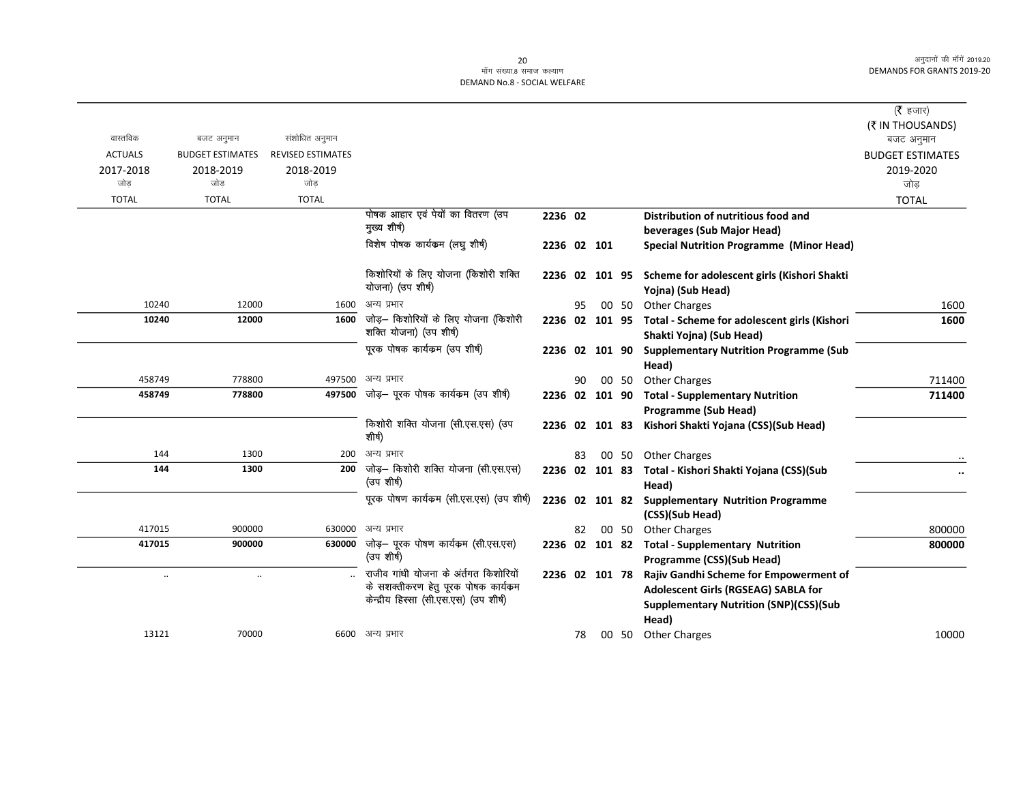### ex;<br>- मॉंग संख्या.8 समाज कल्याण DEMAND No.8 - SOCIAL WELFARE

|                |                         |                          |                                                                             |                |    |       |                                                             | ( $\bar{\tau}$ हजार)                          |
|----------------|-------------------------|--------------------------|-----------------------------------------------------------------------------|----------------|----|-------|-------------------------------------------------------------|-----------------------------------------------|
|                |                         |                          |                                                                             |                |    |       |                                                             | (₹ IN THOUSANDS)                              |
| वास्तविक       | बजट अनुमान              | संशोधित अनुमान           |                                                                             |                |    |       |                                                             | बजट अनुमान                                    |
| <b>ACTUALS</b> | <b>BUDGET ESTIMATES</b> | <b>REVISED ESTIMATES</b> |                                                                             |                |    |       |                                                             | <b>BUDGET ESTIMATES</b>                       |
| 2017-2018      | 2018-2019               | 2018-2019                |                                                                             |                |    |       |                                                             | 2019-2020                                     |
| जोड            | जोड                     | जोड                      |                                                                             |                |    |       |                                                             | जोड                                           |
| <b>TOTAL</b>   | <b>TOTAL</b>            | <b>TOTAL</b>             |                                                                             |                |    |       |                                                             | <b>TOTAL</b>                                  |
|                |                         |                          | पोषक आहार एवं पेयों का वितरण (उप<br>मुख्य शीर्ष)                            | 2236 02        |    |       | Distribution of nutritious food and                         |                                               |
|                |                         |                          | विशेष पोषक कार्यक्रम (लघु शीर्ष)                                            |                |    |       | beverages (Sub Major Head)                                  |                                               |
|                |                         |                          |                                                                             | 2236 02 101    |    |       | <b>Special Nutrition Programme (Minor Head)</b>             |                                               |
|                |                         |                          | किशोरियों के लिए योजना (किशोरी शक्ति                                        | 2236 02 101 95 |    |       | Scheme for adolescent girls (Kishori Shakti                 |                                               |
|                |                         |                          | योजना) (उप शीर्ष)                                                           |                |    |       | Yojna) (Sub Head)                                           |                                               |
| 10240          | 12000                   | 1600                     | अन्य प्रभार                                                                 |                | 95 | 00 50 | <b>Other Charges</b>                                        | 1600                                          |
| 10240          | 12000                   | 1600                     | जोड़— किशोरियों के लिए योजना (किशोरी                                        |                |    |       | 2236 02 101 95 Total - Scheme for adolescent girls (Kishori | 1600                                          |
|                |                         |                          | शक्ति योजना) (उप शीर्ष)                                                     |                |    |       | Shakti Yojna) (Sub Head)                                    |                                               |
|                |                         |                          | पूरक पोषक कार्यक्रम (उप शीर्ष)                                              | 2236 02 101 90 |    |       | <b>Supplementary Nutrition Programme (Sub</b>               |                                               |
|                |                         |                          |                                                                             |                |    |       | Head)                                                       |                                               |
| 458749         | 778800                  | 497500                   | अन्य प्रभार                                                                 |                | 90 | 00 50 | <b>Other Charges</b>                                        | 711400                                        |
| 458749         | 778800                  | 497500                   | जोड़— पूरक पोषक कार्यकम (उप शीर्ष)                                          | 2236 02 101 90 |    |       | <b>Total - Supplementary Nutrition</b>                      | 711400                                        |
|                |                         |                          |                                                                             |                |    |       | <b>Programme (Sub Head)</b>                                 |                                               |
|                |                         |                          | किशोरी शक्ति योजना (सी.एस.एस) (उप<br>शीर्ष)                                 | 2236 02 101 83 |    |       | Kishori Shakti Yojana (CSS)(Sub Head)                       |                                               |
| 144            | 1300                    | 200                      | अन्य प्रभार                                                                 |                | 83 |       | 00 50 Other Charges                                         |                                               |
| 144            | 1300                    | 200                      | जोड़– किशोरी शक्ति योजना (सी.एस.एस)                                         | 2236 02 101 83 |    |       | Total - Kishori Shakti Yojana (CSS)(Sub                     | $\ddot{\phantom{0}}\phantom{0}\bullet\bullet$ |
|                |                         |                          | (उप शीर्ष)                                                                  |                |    |       | Head)                                                       |                                               |
|                |                         |                          | पूरक पोषण कार्यकम (सी.एस.एस) (उप शीर्ष)                                     |                |    |       | 2236 02 101 82 Supplementary Nutrition Programme            |                                               |
|                |                         |                          |                                                                             |                |    |       | (CSS)(Sub Head)                                             |                                               |
| 417015         | 900000                  | 630000                   | अन्य प्रभार                                                                 |                | 82 |       | 00 50 Other Charges                                         | 800000                                        |
| 417015         | 900000                  | 630000                   | जोड़— पूरक पोषण कार्यक्रम (सी.एस.एस)<br>(उप शीर्ष)                          |                |    |       | 2236 02 101 82 Total - Supplementary Nutrition              | 800000                                        |
|                |                         |                          |                                                                             |                |    |       | Programme (CSS)(Sub Head)                                   |                                               |
| $\ldots$       | $\ddotsc$               |                          | राजीव गांधी योजना के अंतगत किशोरियों<br>के सशक्तीकरण हेतु पूरक पोषक कार्यकम | 2236 02 101 78 |    |       | Rajiv Gandhi Scheme for Empowerment of                      |                                               |
|                |                         |                          | केन्द्रीय हिस्सा (सी.एस.एस) (उप शीर्ष)                                      |                |    |       | Adolescent Girls (RGSEAG) SABLA for                         |                                               |
|                |                         |                          |                                                                             |                |    |       | <b>Supplementary Nutrition (SNP)(CSS)(Sub</b>               |                                               |
| 13121          | 70000                   |                          | 6600 अन्य प्रभार                                                            |                |    |       | Head)                                                       |                                               |
|                |                         |                          |                                                                             |                | 78 |       | 00 50 Other Charges                                         | 10000                                         |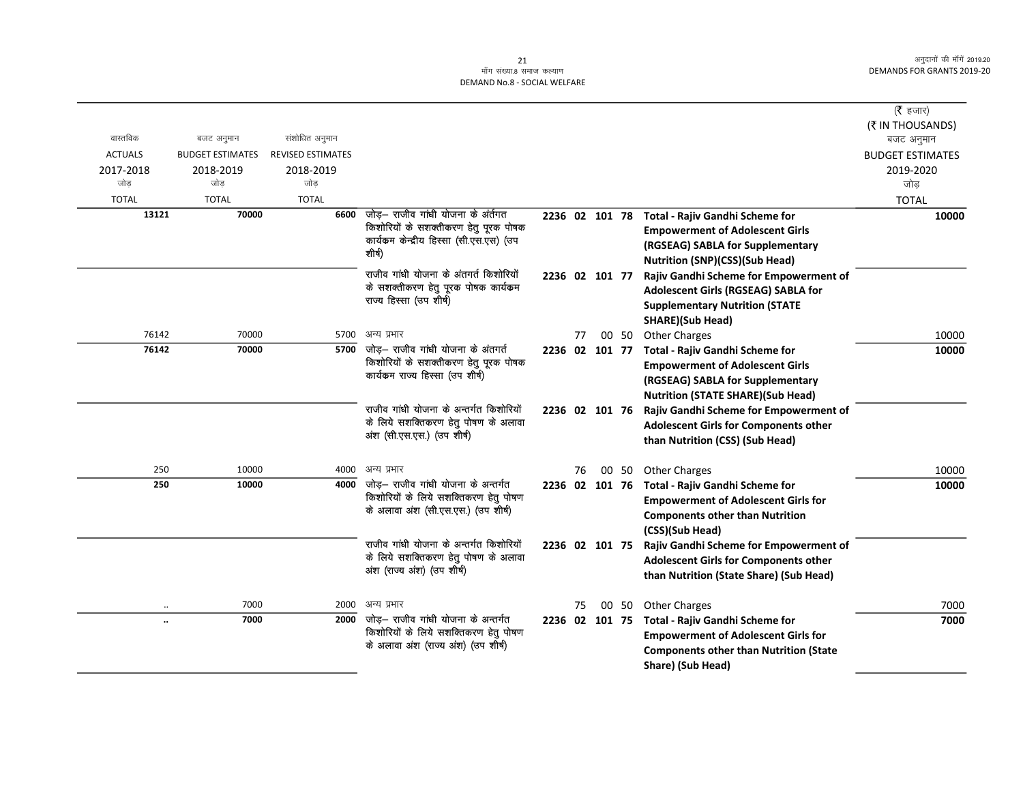## 21 ek¡x l a[;k-8 lekt dY;k.k DEMAND No.8 - SOCIAL WELFARE

|                      |                         |                          |                                                                                                                                  |                |    |       |                                                                                                                                                                       | ( <b>रै</b> हजार)       |
|----------------------|-------------------------|--------------------------|----------------------------------------------------------------------------------------------------------------------------------|----------------|----|-------|-----------------------------------------------------------------------------------------------------------------------------------------------------------------------|-------------------------|
|                      |                         |                          |                                                                                                                                  |                |    |       |                                                                                                                                                                       | (₹ IN THOUSANDS)        |
| वास्तविक             | बजट अनुमान              | संशोधित अनुमान           |                                                                                                                                  |                |    |       |                                                                                                                                                                       | बजट अनुमान              |
| <b>ACTUALS</b>       | <b>BUDGET ESTIMATES</b> | <b>REVISED ESTIMATES</b> |                                                                                                                                  |                |    |       |                                                                                                                                                                       | <b>BUDGET ESTIMATES</b> |
| 2017-2018            | 2018-2019               | 2018-2019                |                                                                                                                                  |                |    |       |                                                                                                                                                                       | 2019-2020               |
| जोड़                 | जोड                     | जोड़                     |                                                                                                                                  |                |    |       |                                                                                                                                                                       | जोड                     |
| <b>TOTAL</b>         | <b>TOTAL</b>            | <b>TOTAL</b>             |                                                                                                                                  |                |    |       |                                                                                                                                                                       | <b>TOTAL</b>            |
| 13121                | 70000                   | 6600                     | जोड़— राजीव गांधी योजना के अंर्तगत<br>किशोरियों के सशक्तीकरण हेतु पूरक पोषक<br>कार्यकम केन्द्रीय हिस्सा (सी.एस.एस) (उप<br>शीर्ष) |                |    |       | 2236 02 101 78 Total - Rajiv Gandhi Scheme for<br><b>Empowerment of Adolescent Girls</b><br>(RGSEAG) SABLA for Supplementary<br><b>Nutrition (SNP)(CSS)(Sub Head)</b> | 10000                   |
|                      |                         |                          | राजीव गांधी योजना के अंतगर्त किशोरियों<br>के सशक्तीकरण हेतु पूरक पोषक कार्यक्रम<br>राज्य हिस्सा (उप शीर्ष)                       | 2236 02 101 77 |    |       | Rajiv Gandhi Scheme for Empowerment of<br>Adolescent Girls (RGSEAG) SABLA for<br><b>Supplementary Nutrition (STATE</b><br><b>SHARE)(Sub Head)</b>                     |                         |
| 76142                | 70000                   | 5700                     | अन्य प्रभार                                                                                                                      |                | 77 | 00 50 | <b>Other Charges</b>                                                                                                                                                  | 10000                   |
| 76142                | 70000                   |                          | 5700 जोड़- राजीव गांधी योजना के अंतगर्त<br>किशोरियों के सशक्तीकरण हेतु पूरक पोषक<br>कार्यकम राज्य हिस्सा (उप शीर्ष)              | 2236 02 101 77 |    |       | Total - Rajiv Gandhi Scheme for<br><b>Empowerment of Adolescent Girls</b><br>(RGSEAG) SABLA for Supplementary<br><b>Nutrition (STATE SHARE)(Sub Head)</b>             | 10000                   |
|                      |                         |                          | राजीव गांधी योजना के अन्तर्गत किशोरियों<br>के लिये सशक्तिकरण हेतु पोषण के अलावा<br>अंश (सी.एस.एस.) (उप शीर्ष)                    | 2236 02 101 76 |    |       | Rajiv Gandhi Scheme for Empowerment of<br>Adolescent Girls for Components other<br>than Nutrition (CSS) (Sub Head)                                                    |                         |
| 250                  | 10000                   | 4000                     | अन्य प्रभार                                                                                                                      |                | 76 | 00 50 | <b>Other Charges</b>                                                                                                                                                  | 10000                   |
| 250                  | 10000                   | 4000                     | जोड़— राजीव गांधी योजना के अन्तर्गत<br>किशोरियों के लिये सशक्तिकरण हेतु पोषण<br>के अलावा अंश (सी.एस.एस.) (उप शीर्ष)              |                |    |       | 2236 02 101 76 Total - Rajiv Gandhi Scheme for<br><b>Empowerment of Adolescent Girls for</b><br><b>Components other than Nutrition</b><br>(CSS)(Sub Head)             | 10000                   |
|                      |                         |                          | राजीव गांधी योजना के अन्तर्गत किशोरियों<br>के लिये सशक्तिकरण हेतु पोषण के अलावा<br>अंश (राज्य अंश) (उप शीर्ष)                    | 2236 02 101 75 |    |       | Rajiv Gandhi Scheme for Empowerment of<br><b>Adolescent Girls for Components other</b><br>than Nutrition (State Share) (Sub Head)                                     |                         |
| $\ddotsc$            | 7000                    | 2000                     | अन्य प्रभार                                                                                                                      |                | 75 | 00 50 | <b>Other Charges</b>                                                                                                                                                  | 7000                    |
| $\ddot{\phantom{a}}$ | 7000                    | 2000                     | जोड़— राजीव गांधी योजना के अन्तर्गत<br>किशोरियों के लिये सशक्तिकरण हेतु पोषण<br>के अलावा अंश (राज्य अंश) (उप शीर्ष)              |                |    |       | 2236 02 101 75 Total - Rajiv Gandhi Scheme for<br><b>Empowerment of Adolescent Girls for</b><br><b>Components other than Nutrition (State</b><br>Share) (Sub Head)    | 7000                    |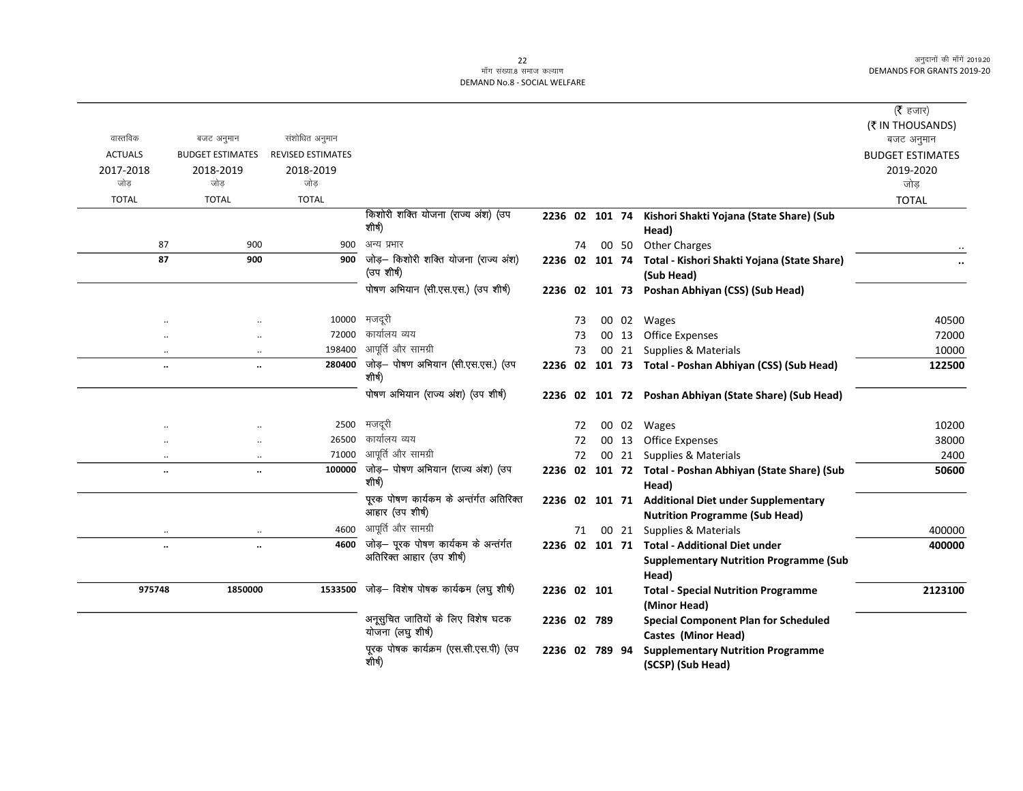## ek; ==<br>|-<br>| सॉंग संख्या.8 समाज कल्याण DEMAND No.8 - SOCIAL WELFARE

|                  |                                   |                          |                                                           |                |    |       |                                                                   | ( $\bar{\tau}$ हजार)<br>(₹ IN THOUSANDS) |
|------------------|-----------------------------------|--------------------------|-----------------------------------------------------------|----------------|----|-------|-------------------------------------------------------------------|------------------------------------------|
| वास्तविक         | बजट अनुमान                        | संशोधित अनुमान           |                                                           |                |    |       |                                                                   | बजट अनुमान                               |
| <b>ACTUALS</b>   | <b>BUDGET ESTIMATES</b>           | <b>REVISED ESTIMATES</b> |                                                           |                |    |       |                                                                   | <b>BUDGET ESTIMATES</b>                  |
| 2017-2018<br>जोड | 2018-2019<br>जोड                  | 2018-2019<br>जोड         |                                                           |                |    |       |                                                                   | 2019-2020<br>जोड़                        |
| <b>TOTAL</b>     | <b>TOTAL</b>                      | <b>TOTAL</b>             |                                                           |                |    |       |                                                                   | <b>TOTAL</b>                             |
|                  |                                   |                          | किशोरी शक्ति योजना (राज्य अंश) (उप                        |                |    |       | 2236 02 101 74 Kishori Shakti Yojana (State Share) (Sub           |                                          |
|                  |                                   |                          | शीर्ष)                                                    |                |    |       | Head)                                                             |                                          |
|                  | 87<br>900                         | 900                      | अन्य प्रभार                                               |                | 74 | 00 50 | <b>Other Charges</b>                                              |                                          |
|                  | 87<br>900                         | 900                      | जोड़- किशोरी शक्ति योजना (राज्य अंश)                      |                |    |       | 2236 02 101 74 Total - Kishori Shakti Yojana (State Share)        |                                          |
|                  |                                   |                          | (उप शीर्ष)                                                |                |    |       | (Sub Head)                                                        |                                          |
|                  |                                   |                          | पोषण अभियान (सी.एस.एस.) (उप शीर्ष)                        |                |    |       | 2236 02 101 73 Poshan Abhiyan (CSS) (Sub Head)                    |                                          |
|                  |                                   | 10000                    | मजदूरी                                                    |                | 73 |       | 00 02 Wages                                                       | 40500                                    |
|                  |                                   | 72000                    | कार्यालय व्यय                                             |                | 73 | 00 13 | <b>Office Expenses</b>                                            | 72000                                    |
|                  | $\ldots$<br>$\ddotsc$             | 198400                   | आपूर्ति और सामग्री                                        |                | 73 | 00 21 | Supplies & Materials                                              | 10000                                    |
|                  | $\ddot{\phantom{a}}$<br>$\ldots$  | 280400                   | जोड़- पोषण अभियान (सी.एस.एस.) (उप                         |                |    |       | 2236 02 101 73 Total - Poshan Abhiyan (CSS) (Sub Head)            | 122500                                   |
|                  |                                   |                          | शीर्ष)                                                    |                |    |       |                                                                   |                                          |
|                  |                                   |                          | पोषण अभियान (राज्य अंश) (उप शीर्ष)                        |                |    |       | 2236 02 101 72 Poshan Abhiyan (State Share) (Sub Head)            |                                          |
|                  |                                   | 2500                     | मजदूरी                                                    |                | 72 |       | 00 02 Wages                                                       | 10200                                    |
|                  |                                   | 26500                    | कार्यालय व्यय                                             |                | 72 |       | 00 13 Office Expenses                                             | 38000                                    |
|                  | $\cdot$                           | 71000                    | आपूर्ति और सामग्री                                        |                | 72 |       | 00 21 Supplies & Materials                                        | 2400                                     |
|                  | $\ddotsc$<br>$\ddot{\phantom{a}}$ | 100000                   | जोड़- पोषण अभियान (राज्य अंश) (उप<br>शीर्ष)               |                |    |       | 2236 02 101 72 Total - Poshan Abhiyan (State Share) (Sub<br>Head) | 50600                                    |
|                  |                                   |                          | पूरक पोषण कार्यकम के अन्तर्गत अतिरिक्त<br>आहार (उप शीर्ष) |                |    |       | 2236 02 101 71 Additional Diet under Supplementary                |                                          |
|                  |                                   |                          | आपूर्ति और सामग्री                                        |                |    |       | <b>Nutrition Programme (Sub Head)</b>                             |                                          |
|                  |                                   | 4600<br>4600             | जोड़— पूरक पोषण कार्यकम के अन्तर्गत                       |                | 71 | 00 21 | Supplies & Materials                                              | 400000                                   |
|                  | $\ddot{\phantom{a}}$<br>$\ddotsc$ |                          | अतिरिक्त आहार (उप शीर्ष)                                  |                |    |       | 2236 02 101 71 Total - Additional Diet under                      | 400000                                   |
|                  |                                   |                          |                                                           |                |    |       | <b>Supplementary Nutrition Programme (Sub</b><br>Head)            |                                          |
| 975748           | 1850000                           | 1533500                  | जोड़— विशेष पोषक कार्यकम (लघु शीर्ष)                      | 2236 02 101    |    |       | <b>Total - Special Nutrition Programme</b>                        | 2123100                                  |
|                  |                                   |                          |                                                           |                |    |       | (Minor Head)                                                      |                                          |
|                  |                                   |                          | अनूसुचित जातियों के लिए विशेष घटक                         | 2236 02 789    |    |       | <b>Special Component Plan for Scheduled</b>                       |                                          |
|                  |                                   |                          | योजना (लघु शीर्ष)                                         |                |    |       | Castes (Minor Head)                                               |                                          |
|                  |                                   |                          | पूरक पोषक कार्यक्रम (एस.सी.एस.पी) (उप                     | 2236 02 789 94 |    |       | <b>Supplementary Nutrition Programme</b>                          |                                          |
|                  |                                   |                          | शीर्ष)                                                    |                |    |       | (SCSP) (Sub Head)                                                 |                                          |
|                  |                                   |                          |                                                           |                |    |       |                                                                   |                                          |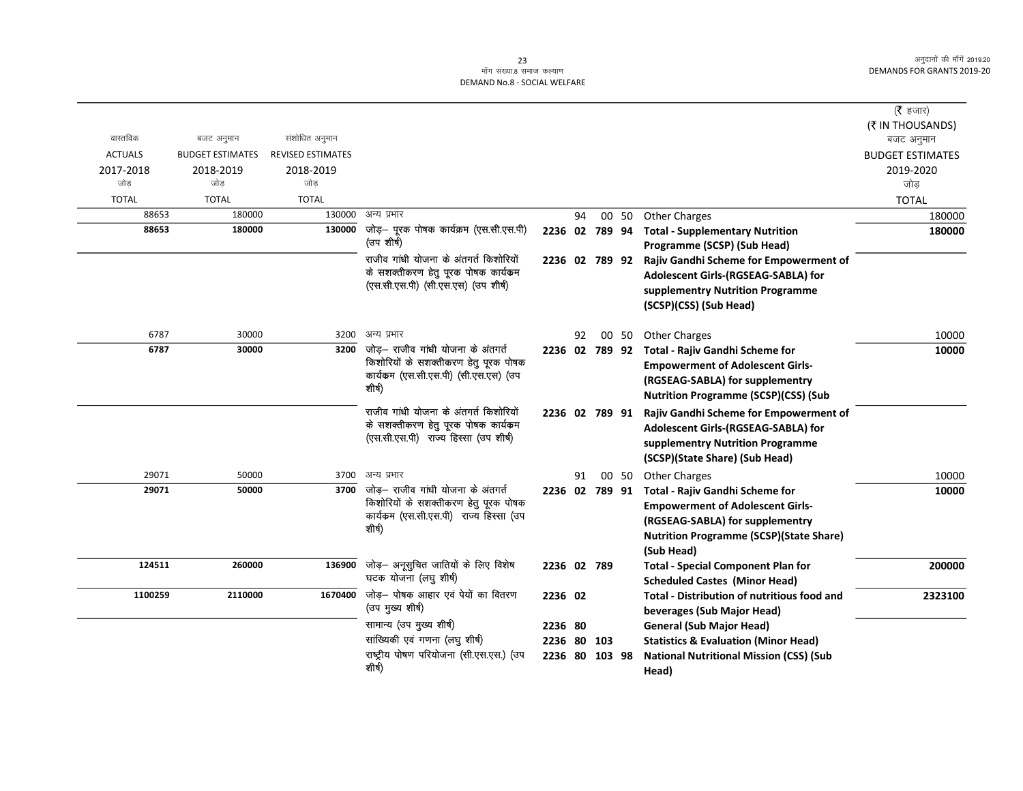|                |                         |                          |                                                                                 |                |    |                |       |                                                                                   | ( $\bar{\tau}$ हजार)<br>(₹ IN THOUSANDS) |
|----------------|-------------------------|--------------------------|---------------------------------------------------------------------------------|----------------|----|----------------|-------|-----------------------------------------------------------------------------------|------------------------------------------|
| वास्तविक       | बजट अनुमान              | संशोधित अनुमान           |                                                                                 |                |    |                |       |                                                                                   | बजट अनुमान                               |
| <b>ACTUALS</b> | <b>BUDGET ESTIMATES</b> | <b>REVISED ESTIMATES</b> |                                                                                 |                |    |                |       |                                                                                   | <b>BUDGET ESTIMATES</b>                  |
| 2017-2018      | 2018-2019               | 2018-2019                |                                                                                 |                |    |                |       |                                                                                   | 2019-2020                                |
| जोड            | जोड                     | जोड                      |                                                                                 |                |    |                |       |                                                                                   | जोड़                                     |
| <b>TOTAL</b>   | <b>TOTAL</b>            | <b>TOTAL</b>             |                                                                                 |                |    |                |       |                                                                                   | <b>TOTAL</b>                             |
| 88653          | 180000                  | 130000                   | अन्य प्रभार                                                                     |                | 94 |                |       | 00 50 Other Charges                                                               | 180000                                   |
| 88653          | 180000                  | 130000                   | जोड़- पूरक पोषक कार्यक्रम (एस.सी.एस.पी)<br>(उप शीर्ष)                           | 2236 02 789 94 |    |                |       | <b>Total - Supplementary Nutrition</b><br>Programme (SCSP) (Sub Head)             | 180000                                   |
|                |                         |                          | राजीव गांधी योजना के अंतगर्त किशोरियों                                          |                |    | 2236 02 789 92 |       | Rajiv Gandhi Scheme for Empowerment of                                            |                                          |
|                |                         |                          | के सशक्तीकरण हेतु पूरक पोषक कार्यक्रम                                           |                |    |                |       | Adolescent Girls-(RGSEAG-SABLA) for                                               |                                          |
|                |                         |                          | (एस.सी.एस.पी) (सी.एस.एस) (उप शीर्ष)                                             |                |    |                |       | supplementry Nutrition Programme                                                  |                                          |
|                |                         |                          |                                                                                 |                |    |                |       | (SCSP)(CSS) (Sub Head)                                                            |                                          |
| 6787           | 30000                   | 3200                     | अन्य प्रभार                                                                     |                | 92 |                | 00 50 | <b>Other Charges</b>                                                              | 10000                                    |
| 6787           | 30000                   | 3200                     | जोड़— राजीव गांधी योजना के अंतगर्त                                              | 2236 02 789 92 |    |                |       | Total - Rajiv Gandhi Scheme for                                                   | 10000                                    |
|                |                         |                          | किशोरियों के सशक्तीकरण हेतु पूरक पोषक                                           |                |    |                |       | <b>Empowerment of Adolescent Girls-</b>                                           |                                          |
|                |                         |                          | कार्यकम (एस.सी.एस.पी) (सी.एस.एस) (उप                                            |                |    |                |       | (RGSEAG-SABLA) for supplementry                                                   |                                          |
|                |                         |                          | शीर्ष)                                                                          |                |    |                |       | <b>Nutrition Programme (SCSP)(CSS) (Sub</b>                                       |                                          |
|                |                         |                          | राजीव गांधी योजना के अंतगर्त किशोरियों                                          |                |    | 2236 02 789 91 |       | Rajiv Gandhi Scheme for Empowerment of                                            |                                          |
|                |                         |                          | के सशक्तीकरण हेतु पूरक पोषक कार्यकम                                             |                |    |                |       | Adolescent Girls-(RGSEAG-SABLA) for                                               |                                          |
|                |                         |                          | (एस.सी.एस.पी) राज्य हिस्सा (उप शीर्ष)                                           |                |    |                |       | supplementry Nutrition Programme                                                  |                                          |
|                |                         |                          |                                                                                 |                |    |                |       | (SCSP)(State Share) (Sub Head)                                                    |                                          |
| 29071          | 50000                   | 3700                     | अन्य प्रभार                                                                     |                | 91 |                | 00 50 | <b>Other Charges</b>                                                              | 10000                                    |
| 29071          | 50000                   | 3700                     | जोड़– राजीव गांधी योजना के अंतगर्त                                              | 2236 02 789 91 |    |                |       | Total - Rajiv Gandhi Scheme for                                                   | 10000                                    |
|                |                         |                          | किशोरियों के सशक्तीकरण हेतु पूरक पोषक<br>कार्यकम (एस.सी.एस.पी) राज्य हिस्सा (उप |                |    |                |       | <b>Empowerment of Adolescent Girls-</b>                                           |                                          |
|                |                         |                          | शीर्ष)                                                                          |                |    |                |       | (RGSEAG-SABLA) for supplementry                                                   |                                          |
|                |                         |                          |                                                                                 |                |    |                |       | <b>Nutrition Programme (SCSP)(State Share)</b>                                    |                                          |
|                |                         |                          |                                                                                 |                |    |                |       | (Sub Head)                                                                        |                                          |
| 124511         | 260000                  | 136900                   | जोड़- अनूसुचित जातियों के लिए विशेष<br>घटक योजना (लघु शीर्ष)                    | 2236 02 789    |    |                |       | <b>Total - Special Component Plan for</b><br><b>Scheduled Castes (Minor Head)</b> | 200000                                   |
| 1100259        | 2110000                 | 1670400                  | जोड़— पोषक आहार एवं पेयों का वितरण                                              | 2236 02        |    |                |       | <b>Total - Distribution of nutritious food and</b>                                | 2323100                                  |
|                |                         |                          | (उप मुख्य शीर्ष)                                                                |                |    |                |       | beverages (Sub Major Head)                                                        |                                          |
|                |                         |                          | सामान्य (उप मुख्य शीर्ष)                                                        | 2236 80        |    |                |       | <b>General (Sub Major Head)</b>                                                   |                                          |
|                |                         |                          | सांख्यिकी एवं गणना (लघु शीर्ष)                                                  | 2236 80 103    |    |                |       | <b>Statistics &amp; Evaluation (Minor Head)</b>                                   |                                          |
|                |                         |                          | राष्ट्रीय पोषण परियोजना (सी.एस.एस.) (उप                                         | 2236 80 103 98 |    |                |       | <b>National Nutritional Mission (CSS) (Sub</b>                                    |                                          |
|                |                         |                          | शीर्ष)                                                                          |                |    |                |       | Head)                                                                             |                                          |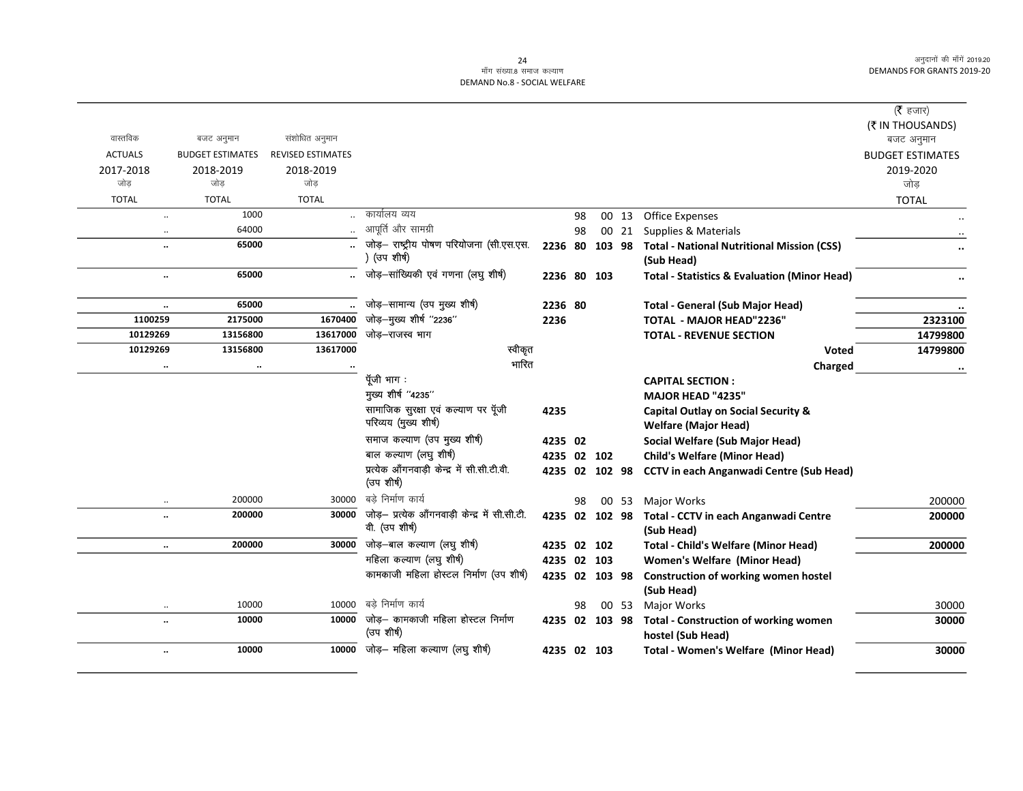#### 24 DEMAND No.8 - SOCIAL WELFARE

|                      |                         |                          |                                                           |                |    |                |                                                         | ( $\bar{\tau}$ हजार)    |
|----------------------|-------------------------|--------------------------|-----------------------------------------------------------|----------------|----|----------------|---------------------------------------------------------|-------------------------|
|                      |                         |                          |                                                           |                |    |                |                                                         | (₹ IN THOUSANDS)        |
| वास्तविक             | बजट अनुमान              | संशोधित अनुमान           |                                                           |                |    |                |                                                         | बजट अनुमान              |
| <b>ACTUALS</b>       | <b>BUDGET ESTIMATES</b> | <b>REVISED ESTIMATES</b> |                                                           |                |    |                |                                                         | <b>BUDGET ESTIMATES</b> |
| 2017-2018            | 2018-2019               | 2018-2019                |                                                           |                |    |                |                                                         | 2019-2020               |
| जोड                  | जोड                     | जोड                      |                                                           |                |    |                |                                                         | जोड़                    |
| <b>TOTAL</b>         | <b>TOTAL</b>            | <b>TOTAL</b>             |                                                           |                |    |                |                                                         | <b>TOTAL</b>            |
| $\ddotsc$            | 1000                    |                          | कार्यालय व्यय                                             |                | 98 | 00 13          | <b>Office Expenses</b>                                  |                         |
| $\ddotsc$            | 64000                   |                          | आपूर्ति और सामग्री                                        |                | 98 | 00 21          | Supplies & Materials                                    |                         |
| $\ddot{\phantom{0}}$ | 65000                   |                          | जोड़- राष्ट्रीय पोषण परियोजना (सी.एस.एस.<br>(उप शीर्ष)    | 2236 80        |    | 103 98         | <b>Total - National Nutritional Mission (CSS)</b>       |                         |
|                      | 65000                   |                          | जोड़-सांख्यिकी एवं गणना (लघु शीर्ष)                       |                |    |                | (Sub Head)                                              |                         |
| $\ddot{\phantom{0}}$ |                         |                          |                                                           | 2236 80 103    |    |                | <b>Total - Statistics &amp; Evaluation (Minor Head)</b> |                         |
| $\ldots$             | 65000                   |                          | जोड़-सामान्य (उप मुख्य शीर्ष)                             | 2236 80        |    |                | <b>Total - General (Sub Major Head)</b>                 |                         |
| 1100259              | 2175000                 | 1670400                  | जोड़-मुख्य शीर्ष "2236"                                   | 2236           |    |                | <b>TOTAL - MAJOR HEAD"2236"</b>                         | 2323100                 |
| 10129269             | 13156800                | 13617000                 | जोड़–राजस्व भाग                                           |                |    |                | <b>TOTAL - REVENUE SECTION</b>                          | 14799800                |
| 10129269             | 13156800                | 13617000                 | स्वीकृत                                                   |                |    |                | <b>Voted</b>                                            | 14799800                |
|                      | $\cdot \cdot$           |                          | भारित                                                     |                |    |                | Charged                                                 | $\ddot{\phantom{a}}$    |
|                      |                         |                          | पूँजी भाग:                                                |                |    |                | <b>CAPITAL SECTION:</b>                                 |                         |
|                      |                         |                          | मुख्य शीर्ष "4235"                                        |                |    |                | <b>MAJOR HEAD "4235"</b>                                |                         |
|                      |                         |                          | सामाजिक सुरक्षा एवं कल्याण पर पूँजी                       | 4235           |    |                | Capital Outlay on Social Security &                     |                         |
|                      |                         |                          | परिव्यय (मुख्य शीर्ष)                                     |                |    |                | <b>Welfare (Major Head)</b>                             |                         |
|                      |                         |                          | समाज कल्याण (उप मुख्य शीर्ष)                              | 4235 02        |    |                | Social Welfare (Sub Major Head)                         |                         |
|                      |                         |                          | बाल कल्याण (लघु शीर्ष)                                    | 4235 02 102    |    |                | <b>Child's Welfare (Minor Head)</b>                     |                         |
|                      |                         |                          | प्रत्येक आँगनवाड़ी केन्द्र में सी.सी.टी.वी.<br>(उप शीर्ष) |                |    | 4235 02 102 98 | <b>CCTV in each Anganwadi Centre (Sub Head)</b>         |                         |
| $\ddotsc$            | 200000                  | 30000                    | बडे निर्माण कार्य                                         |                | 98 | 00 53          | Major Works                                             | 200000                  |
| $\ddot{\phantom{0}}$ | 200000                  | 30000                    | जोड़- प्रत्येक आँगनवाड़ी केन्द्र में सी.सी.टी.            | 4235 02 102 98 |    |                | Total - CCTV in each Anganwadi Centre                   | 200000                  |
|                      |                         |                          | वी. (उप शीर्ष)                                            |                |    |                | (Sub Head)                                              |                         |
| $\ldots$             | 200000                  | 30000                    | जोड़—बाल कल्याण (लघु शीर्ष)                               | 4235 02 102    |    |                | <b>Total - Child's Welfare (Minor Head)</b>             | 200000                  |
|                      |                         |                          | महिला कल्याण (लघु शीर्ष)                                  | 4235 02 103    |    |                | <b>Women's Welfare (Minor Head)</b>                     |                         |
|                      |                         |                          | कामकाजी महिला होस्टल निर्माण (उप शीर्ष)                   | 4235 02 103 98 |    |                | Construction of working women hostel                    |                         |
|                      |                         |                          |                                                           |                |    |                | (Sub Head)                                              |                         |
| $\ddotsc$            | 10000                   | 10000                    | बडे निर्माण कार्य                                         |                | 98 | 00 53          | Major Works                                             | 30000                   |
| $\ddot{\phantom{0}}$ | 10000                   | 10000                    | जोड़— कामकाजी महिला होस्टल निर्माण                        | 4235 02 103 98 |    |                | <b>Total - Construction of working women</b>            | 30000                   |
|                      |                         |                          | (उप शीर्ष)                                                |                |    |                | hostel (Sub Head)                                       |                         |
| $\ddotsc$            | 10000                   |                          | 10000 जोड़- महिला कल्याण (लघु शीर्ष)                      | 4235 02 103    |    |                | <b>Total - Women's Welfare (Minor Head)</b>             | 30000                   |
|                      |                         |                          |                                                           |                |    |                |                                                         |                         |